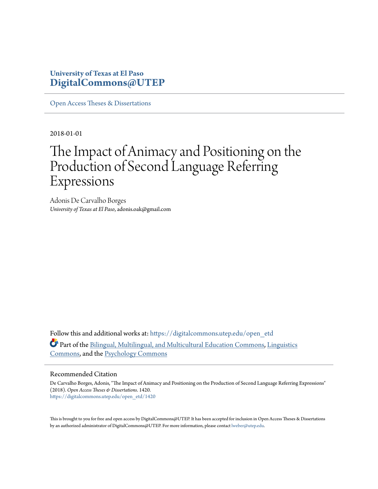### **University of Texas at El Paso [DigitalCommons@UTEP](https://digitalcommons.utep.edu/?utm_source=digitalcommons.utep.edu%2Fopen_etd%2F1420&utm_medium=PDF&utm_campaign=PDFCoverPages)**

[Open Access Theses & Dissertations](https://digitalcommons.utep.edu/open_etd?utm_source=digitalcommons.utep.edu%2Fopen_etd%2F1420&utm_medium=PDF&utm_campaign=PDFCoverPages)

2018-01-01

# The Impact of Animacy and Positioning on the Production of Second Language Referring Expressions

Adonis De Carvalho Borges *University of Texas at El Paso*, adonis.oak@gmail.com

Follow this and additional works at: [https://digitalcommons.utep.edu/open\\_etd](https://digitalcommons.utep.edu/open_etd?utm_source=digitalcommons.utep.edu%2Fopen_etd%2F1420&utm_medium=PDF&utm_campaign=PDFCoverPages) Part of the [Bilingual, Multilingual, and Multicultural Education Commons](http://network.bepress.com/hgg/discipline/785?utm_source=digitalcommons.utep.edu%2Fopen_etd%2F1420&utm_medium=PDF&utm_campaign=PDFCoverPages), [Linguistics](http://network.bepress.com/hgg/discipline/371?utm_source=digitalcommons.utep.edu%2Fopen_etd%2F1420&utm_medium=PDF&utm_campaign=PDFCoverPages) [Commons,](http://network.bepress.com/hgg/discipline/371?utm_source=digitalcommons.utep.edu%2Fopen_etd%2F1420&utm_medium=PDF&utm_campaign=PDFCoverPages) and the [Psychology Commons](http://network.bepress.com/hgg/discipline/404?utm_source=digitalcommons.utep.edu%2Fopen_etd%2F1420&utm_medium=PDF&utm_campaign=PDFCoverPages)

#### Recommended Citation

De Carvalho Borges, Adonis, "The Impact of Animacy and Positioning on the Production of Second Language Referring Expressions" (2018). *Open Access Theses & Dissertations*. 1420. [https://digitalcommons.utep.edu/open\\_etd/1420](https://digitalcommons.utep.edu/open_etd/1420?utm_source=digitalcommons.utep.edu%2Fopen_etd%2F1420&utm_medium=PDF&utm_campaign=PDFCoverPages)

This is brought to you for free and open access by DigitalCommons@UTEP. It has been accepted for inclusion in Open Access Theses & Dissertations by an authorized administrator of DigitalCommons@UTEP. For more information, please contact [lweber@utep.edu.](mailto:lweber@utep.edu)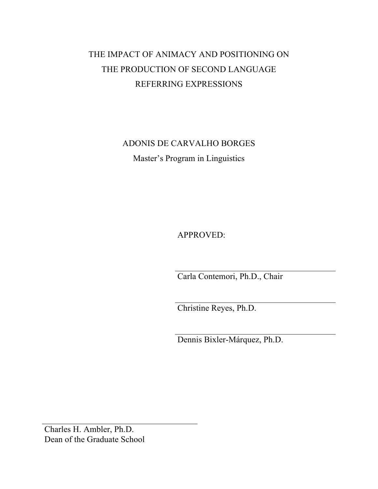# THE IMPACT OF ANIMACY AND POSITIONING ON THE PRODUCTION OF SECOND LANGUAGE REFERRING EXPRESSIONS

ADONIS DE CARVALHO BORGES Master's Program in Linguistics

APPROVED:

Carla Contemori, Ph.D., Chair

Christine Reyes, Ph.D.

Dennis Bixler-Márquez, Ph.D.

Charles H. Ambler, Ph.D. Dean of the Graduate School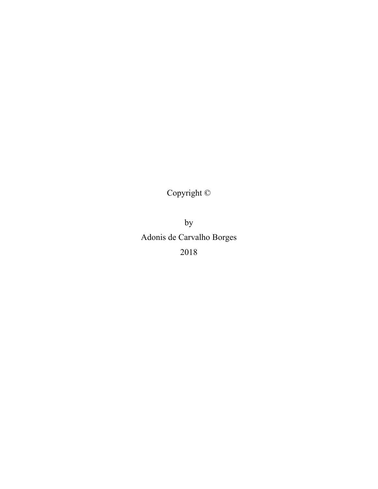Copyright ©

by Adonis de Carvalho Borges 2018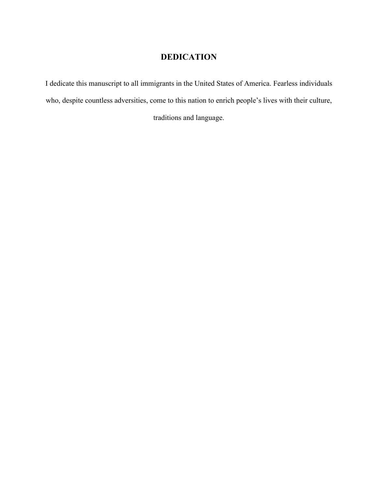# **DEDICATION**

I dedicate this manuscript to all immigrants in the United States of America. Fearless individuals who, despite countless adversities, come to this nation to enrich people's lives with their culture,

traditions and language.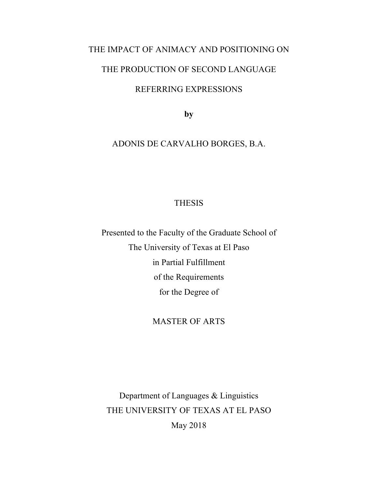# THE IMPACT OF ANIMACY AND POSITIONING ON

## THE PRODUCTION OF SECOND LANGUAGE

### REFERRING EXPRESSIONS

**by**

## ADONIS DE CARVALHO BORGES, B.A.

### THESIS

Presented to the Faculty of the Graduate School of The University of Texas at El Paso in Partial Fulfillment of the Requirements for the Degree of

### MASTER OF ARTS

Department of Languages & Linguistics THE UNIVERSITY OF TEXAS AT EL PASO May 2018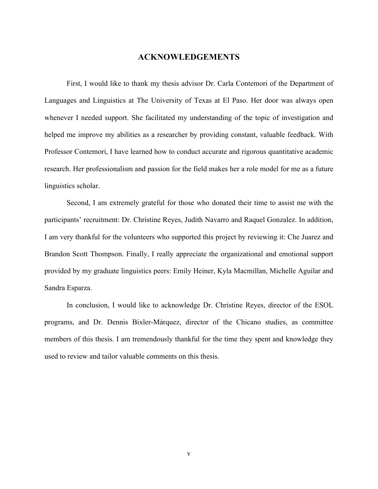#### **ACKNOWLEDGEMENTS**

First, I would like to thank my thesis advisor Dr. Carla Contemori of the Department of Languages and Linguistics at The University of Texas at El Paso. Her door was always open whenever I needed support. She facilitated my understanding of the topic of investigation and helped me improve my abilities as a researcher by providing constant, valuable feedback. With Professor Contemori, I have learned how to conduct accurate and rigorous quantitative academic research. Her professionalism and passion for the field makes her a role model for me as a future linguistics scholar.

Second, I am extremely grateful for those who donated their time to assist me with the participants' recruitment: Dr. Christine Reyes, Judith Navarro and Raquel Gonzalez. In addition, I am very thankful for the volunteers who supported this project by reviewing it: Che Juarez and Brandon Scott Thompson. Finally, I really appreciate the organizational and emotional support provided by my graduate linguistics peers: Emily Heiner, Kyla Macmillan, Michelle Aguilar and Sandra Esparza.

In conclusion, I would like to acknowledge Dr. Christine Reyes, director of the ESOL programs, and Dr. Dennis Bixler-Márquez, director of the Chicano studies, as committee members of this thesis. I am tremendously thankful for the time they spent and knowledge they used to review and tailor valuable comments on this thesis.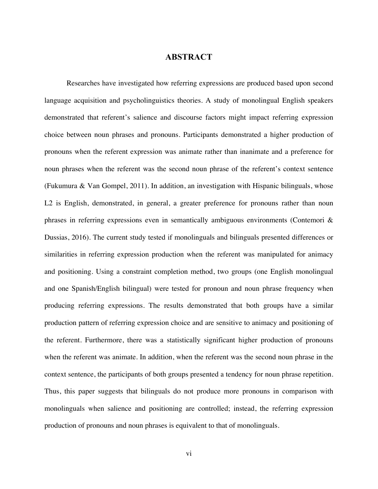#### **ABSTRACT**

Researches have investigated how referring expressions are produced based upon second language acquisition and psycholinguistics theories. A study of monolingual English speakers demonstrated that referent's salience and discourse factors might impact referring expression choice between noun phrases and pronouns. Participants demonstrated a higher production of pronouns when the referent expression was animate rather than inanimate and a preference for noun phrases when the referent was the second noun phrase of the referent's context sentence (Fukumura & Van Gompel, 2011). In addition, an investigation with Hispanic bilinguals, whose L<sub>2</sub> is English, demonstrated, in general, a greater preference for pronouns rather than noun phrases in referring expressions even in semantically ambiguous environments (Contemori & Dussias, 2016). The current study tested if monolinguals and bilinguals presented differences or similarities in referring expression production when the referent was manipulated for animacy and positioning. Using a constraint completion method, two groups (one English monolingual and one Spanish/English bilingual) were tested for pronoun and noun phrase frequency when producing referring expressions. The results demonstrated that both groups have a similar production pattern of referring expression choice and are sensitive to animacy and positioning of the referent. Furthermore, there was a statistically significant higher production of pronouns when the referent was animate. In addition, when the referent was the second noun phrase in the context sentence, the participants of both groups presented a tendency for noun phrase repetition. Thus, this paper suggests that bilinguals do not produce more pronouns in comparison with monolinguals when salience and positioning are controlled; instead, the referring expression production of pronouns and noun phrases is equivalent to that of monolinguals.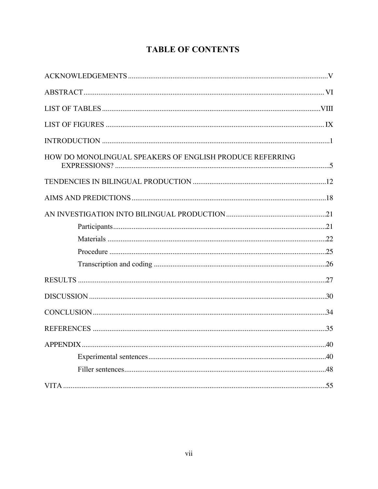# **TABLE OF CONTENTS**

| HOW DO MONOLINGUAL SPEAKERS OF ENGLISH PRODUCE REFERRING |  |
|----------------------------------------------------------|--|
|                                                          |  |
|                                                          |  |
|                                                          |  |
|                                                          |  |
|                                                          |  |
|                                                          |  |
|                                                          |  |
|                                                          |  |
|                                                          |  |
|                                                          |  |
|                                                          |  |
|                                                          |  |
|                                                          |  |
|                                                          |  |
|                                                          |  |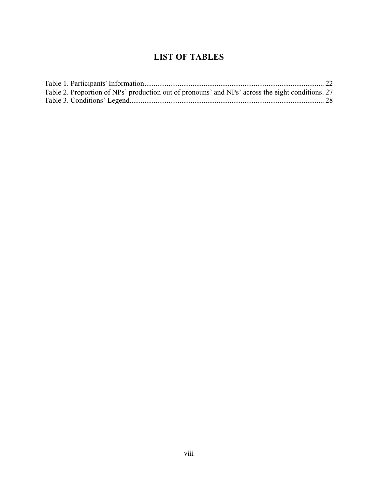# **LIST OF TABLES**

| Table 2. Proportion of NPs' production out of pronouns' and NPs' across the eight conditions. 27 |  |
|--------------------------------------------------------------------------------------------------|--|
|                                                                                                  |  |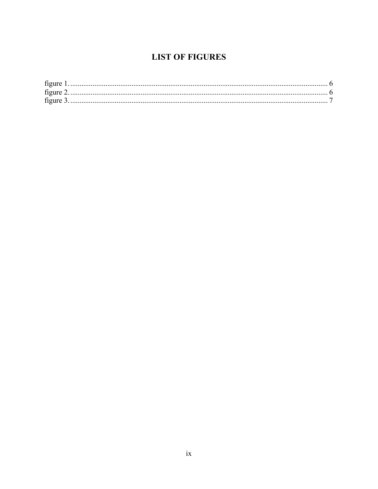## **LIST OF FIGURES**

| figure    |  |
|-----------|--|
|           |  |
| figure 3. |  |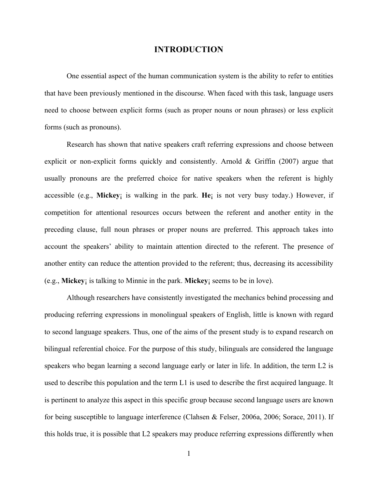#### **INTRODUCTION**

One essential aspect of the human communication system is the ability to refer to entities that have been previously mentioned in the discourse. When faced with this task, language users need to choose between explicit forms (such as proper nouns or noun phrases) or less explicit forms (such as pronouns).

Research has shown that native speakers craft referring expressions and choose between explicit or non-explicit forms quickly and consistently. Arnold & Griffin (2007) argue that usually pronouns are the preferred choice for native speakers when the referent is highly accessible (e.g., **Mickey**¡ is walking in the park. **He**¡ is not very busy today.) However, if competition for attentional resources occurs between the referent and another entity in the preceding clause, full noun phrases or proper nouns are preferred. This approach takes into account the speakers' ability to maintain attention directed to the referent. The presence of another entity can reduce the attention provided to the referent; thus, decreasing its accessibility (e.g., **Mickey**¡ is talking to Minnie in the park. **Mickey**¡ seems to be in love).

Although researchers have consistently investigated the mechanics behind processing and producing referring expressions in monolingual speakers of English, little is known with regard to second language speakers. Thus, one of the aims of the present study is to expand research on bilingual referential choice. For the purpose of this study, bilinguals are considered the language speakers who began learning a second language early or later in life. In addition, the term L2 is used to describe this population and the term L1 is used to describe the first acquired language. It is pertinent to analyze this aspect in this specific group because second language users are known for being susceptible to language interference (Clahsen & Felser, 2006a, 2006; Sorace, 2011). If this holds true, it is possible that L2 speakers may produce referring expressions differently when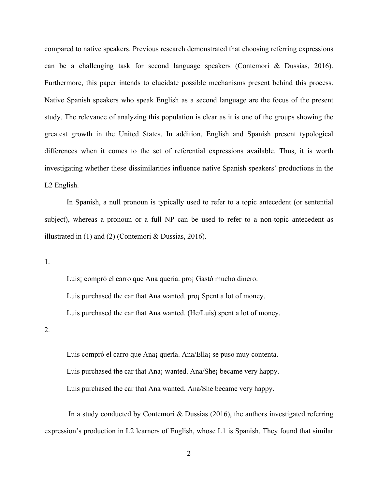compared to native speakers. Previous research demonstrated that choosing referring expressions can be a challenging task for second language speakers (Contemori & Dussias, 2016). Furthermore, this paper intends to elucidate possible mechanisms present behind this process. Native Spanish speakers who speak English as a second language are the focus of the present study. The relevance of analyzing this population is clear as it is one of the groups showing the greatest growth in the United States. In addition, English and Spanish present typological differences when it comes to the set of referential expressions available. Thus, it is worth investigating whether these dissimilarities influence native Spanish speakers' productions in the L2 English.

In Spanish, a null pronoun is typically used to refer to a topic antecedent (or sentential subject), whereas a pronoun or a full NP can be used to refer to a non-topic antecedent as illustrated in (1) and (2) (Contemori & Dussias, 2016).

1.

Luis¡ compró el carro que Ana quería. pro¡ Gastó mucho dinero. Luis purchased the car that Ana wanted. pro¡ Spent a lot of money. Luis purchased the car that Ana wanted. (He/Luis) spent a lot of money.

2.

Luis compró el carro que Ana¡ quería. Ana/Ella¡ se puso muy contenta. Luis purchased the car that Ana¡ wanted. Ana/She¡ became very happy. Luis purchased the car that Ana wanted. Ana/She became very happy.

In a study conducted by Contemori  $\&$  Dussias (2016), the authors investigated referring expression's production in L2 learners of English, whose L1 is Spanish. They found that similar

2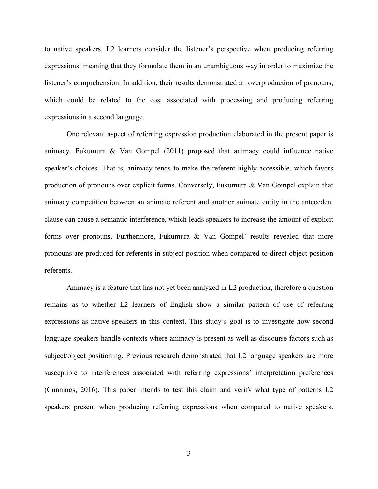to native speakers, L2 learners consider the listener's perspective when producing referring expressions; meaning that they formulate them in an unambiguous way in order to maximize the listener's comprehension. In addition, their results demonstrated an overproduction of pronouns, which could be related to the cost associated with processing and producing referring expressions in a second language.

One relevant aspect of referring expression production elaborated in the present paper is animacy. Fukumura & Van Gompel (2011) proposed that animacy could influence native speaker's choices. That is, animacy tends to make the referent highly accessible, which favors production of pronouns over explicit forms. Conversely, Fukumura & Van Gompel explain that animacy competition between an animate referent and another animate entity in the antecedent clause can cause a semantic interference, which leads speakers to increase the amount of explicit forms over pronouns. Furthermore, Fukumura & Van Gompel' results revealed that more pronouns are produced for referents in subject position when compared to direct object position referents.

Animacy is a feature that has not yet been analyzed in L2 production, therefore a question remains as to whether L2 learners of English show a similar pattern of use of referring expressions as native speakers in this context. This study's goal is to investigate how second language speakers handle contexts where animacy is present as well as discourse factors such as subject/object positioning. Previous research demonstrated that L2 language speakers are more susceptible to interferences associated with referring expressions' interpretation preferences (Cunnings, 2016). This paper intends to test this claim and verify what type of patterns L2 speakers present when producing referring expressions when compared to native speakers.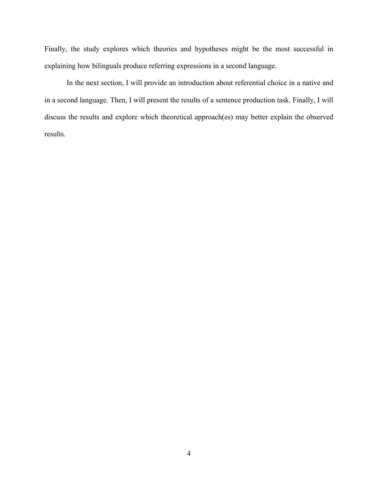Finally, the study explores which theories and hypotheses might be the most successful in explaining how bilinguals produce referring expressions in a second language.

In the next section, I will provide an introduction about referential choice in a native and in a second language. Then, I will present the results of a sentence production task. Finally, I will discuss the results and explore which theoretical approach(es) may better explain the observed results.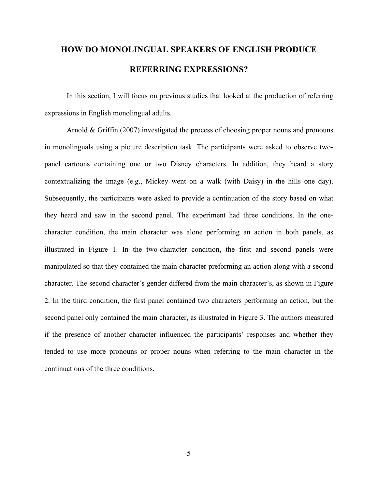# **HOW DO MONOLINGUAL SPEAKERS OF ENGLISH PRODUCE REFERRING EXPRESSIONS?**

In this section, I will focus on previous studies that looked at the production of referring expressions in English monolingual adults.

Arnold & Griffin (2007) investigated the process of choosing proper nouns and pronouns in monolinguals using a picture description task. The participants were asked to observe twopanel cartoons containing one or two Disney characters. In addition, they heard a story contextualizing the image (e.g., Mickey went on a walk (with Daisy) in the hills one day). Subsequently, the participants were asked to provide a continuation of the story based on what they heard and saw in the second panel. The experiment had three conditions. In the onecharacter condition, the main character was alone performing an action in both panels, as illustrated in Figure 1. In the two-character condition, the first and second panels were manipulated so that they contained the main character preforming an action along with a second character. The second character's gender differed from the main character's, as shown in Figure 2. In the third condition, the first panel contained two characters performing an action, but the second panel only contained the main character, as illustrated in Figure 3. The authors measured if the presence of another character influenced the participants' responses and whether they tended to use more pronouns or proper nouns when referring to the main character in the continuations of the three conditions.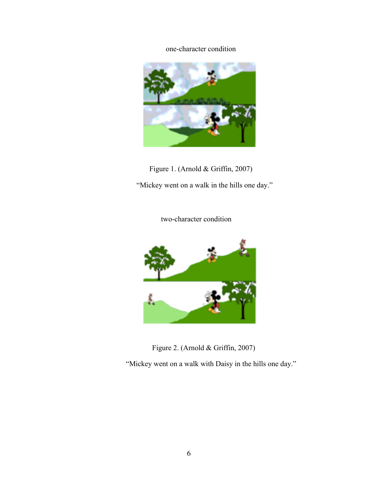### one-character condition



Figure 1. (Arnold & Griffin, 2007)

"Mickey went on a walk in the hills one day."

two-character condition



Figure 2. (Arnold & Griffin, 2007)

"Mickey went on a walk with Daisy in the hills one day."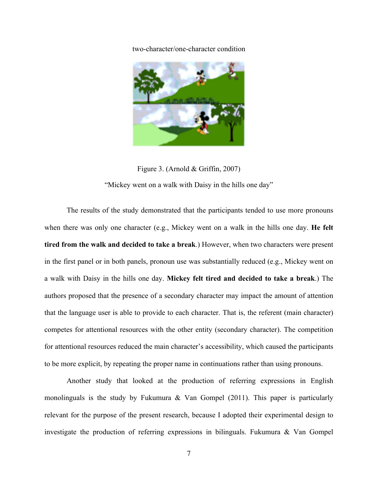two-character/one-character condition



Figure 3. (Arnold & Griffin, 2007) "Mickey went on a walk with Daisy in the hills one day"

The results of the study demonstrated that the participants tended to use more pronouns when there was only one character (e.g., Mickey went on a walk in the hills one day. **He felt tired from the walk and decided to take a break**.) However, when two characters were present in the first panel or in both panels, pronoun use was substantially reduced (e.g., Mickey went on a walk with Daisy in the hills one day. **Mickey felt tired and decided to take a break**.) The authors proposed that the presence of a secondary character may impact the amount of attention that the language user is able to provide to each character. That is, the referent (main character) competes for attentional resources with the other entity (secondary character). The competition for attentional resources reduced the main character's accessibility, which caused the participants to be more explicit, by repeating the proper name in continuations rather than using pronouns.

Another study that looked at the production of referring expressions in English monolinguals is the study by Fukumura  $\&$  Van Gompel (2011). This paper is particularly relevant for the purpose of the present research, because I adopted their experimental design to investigate the production of referring expressions in bilinguals. Fukumura & Van Gompel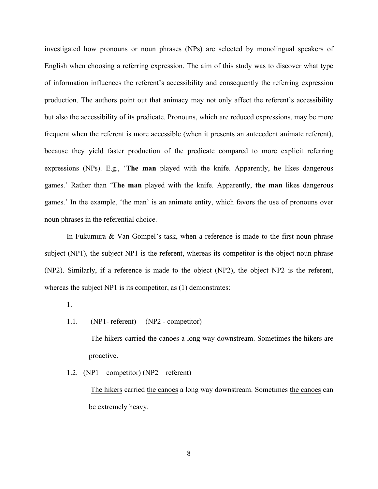investigated how pronouns or noun phrases (NPs) are selected by monolingual speakers of English when choosing a referring expression. The aim of this study was to discover what type of information influences the referent's accessibility and consequently the referring expression production. The authors point out that animacy may not only affect the referent's accessibility but also the accessibility of its predicate. Pronouns, which are reduced expressions, may be more frequent when the referent is more accessible (when it presents an antecedent animate referent), because they yield faster production of the predicate compared to more explicit referring expressions (NPs). E.g., '**The man** played with the knife. Apparently, **he** likes dangerous games.' Rather than '**The man** played with the knife. Apparently, **the man** likes dangerous games.' In the example, 'the man' is an animate entity, which favors the use of pronouns over noun phrases in the referential choice.

In Fukumura & Van Gompel's task, when a reference is made to the first noun phrase subject (NP1), the subject NP1 is the referent, whereas its competitor is the object noun phrase (NP2). Similarly, if a reference is made to the object (NP2), the object NP2 is the referent, whereas the subject NP1 is its competitor, as (1) demonstrates:

- 1.
- 1.1. (NP1- referent) (NP2 competitor)

The hikers carried the canoes a long way downstream. Sometimes the hikers are proactive.

1.2. (NP1 – competitor) (NP2 – referent)

The hikers carried the canoes a long way downstream. Sometimes the canoes can be extremely heavy.

8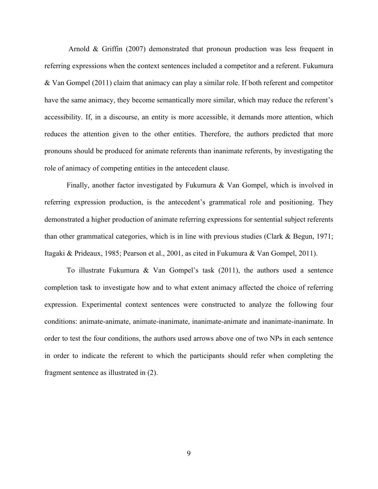Arnold & Griffin (2007) demonstrated that pronoun production was less frequent in referring expressions when the context sentences included a competitor and a referent. Fukumura & Van Gompel (2011) claim that animacy can play a similar role. If both referent and competitor have the same animacy, they become semantically more similar, which may reduce the referent's accessibility. If, in a discourse, an entity is more accessible, it demands more attention, which reduces the attention given to the other entities. Therefore, the authors predicted that more pronouns should be produced for animate referents than inanimate referents, by investigating the role of animacy of competing entities in the antecedent clause.

Finally, another factor investigated by Fukumura & Van Gompel, which is involved in referring expression production, is the antecedent's grammatical role and positioning. They demonstrated a higher production of animate referring expressions for sentential subject referents than other grammatical categories, which is in line with previous studies (Clark  $\&$  Begun, 1971; Itagaki & Prideaux, 1985; Pearson et al., 2001, as cited in Fukumura & Van Gompel, 2011).

To illustrate Fukumura & Van Gompel's task (2011), the authors used a sentence completion task to investigate how and to what extent animacy affected the choice of referring expression. Experimental context sentences were constructed to analyze the following four conditions: animate-animate, animate-inanimate, inanimate-animate and inanimate-inanimate. In order to test the four conditions, the authors used arrows above one of two NPs in each sentence in order to indicate the referent to which the participants should refer when completing the fragment sentence as illustrated in (2).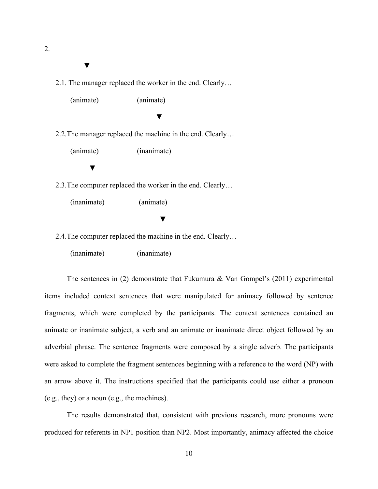2.

#### ▼

2.1. The manager replaced the worker in the end. Clearly…

(animate) (animate)

▼

2.2.The manager replaced the machine in the end. Clearly…

(animate) (inanimate)

▼

2.3.The computer replaced the worker in the end. Clearly…

(inanimate) (animate)

▼

2.4.The computer replaced the machine in the end. Clearly…

(inanimate) (inanimate)

The sentences in (2) demonstrate that Fukumura  $\&$  Van Gompel's (2011) experimental items included context sentences that were manipulated for animacy followed by sentence fragments, which were completed by the participants. The context sentences contained an animate or inanimate subject, a verb and an animate or inanimate direct object followed by an adverbial phrase. The sentence fragments were composed by a single adverb. The participants were asked to complete the fragment sentences beginning with a reference to the word (NP) with an arrow above it. The instructions specified that the participants could use either a pronoun (e.g., they) or a noun (e.g., the machines).

The results demonstrated that, consistent with previous research, more pronouns were produced for referents in NP1 position than NP2. Most importantly, animacy affected the choice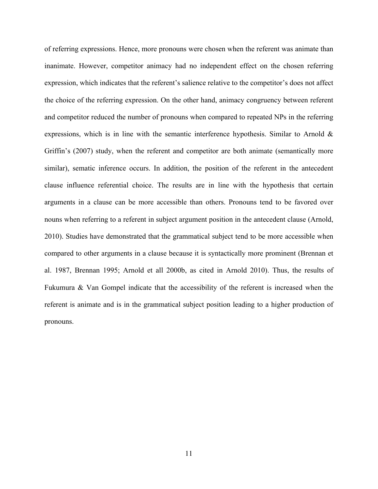of referring expressions. Hence, more pronouns were chosen when the referent was animate than inanimate. However, competitor animacy had no independent effect on the chosen referring expression, which indicates that the referent's salience relative to the competitor's does not affect the choice of the referring expression. On the other hand, animacy congruency between referent and competitor reduced the number of pronouns when compared to repeated NPs in the referring expressions, which is in line with the semantic interference hypothesis. Similar to Arnold  $\&$ Griffin's (2007) study, when the referent and competitor are both animate (semantically more similar), sematic inference occurs. In addition, the position of the referent in the antecedent clause influence referential choice. The results are in line with the hypothesis that certain arguments in a clause can be more accessible than others. Pronouns tend to be favored over nouns when referring to a referent in subject argument position in the antecedent clause (Arnold, 2010). Studies have demonstrated that the grammatical subject tend to be more accessible when compared to other arguments in a clause because it is syntactically more prominent (Brennan et al. 1987, Brennan 1995; Arnold et all 2000b, as cited in Arnold 2010). Thus, the results of Fukumura & Van Gompel indicate that the accessibility of the referent is increased when the referent is animate and is in the grammatical subject position leading to a higher production of pronouns.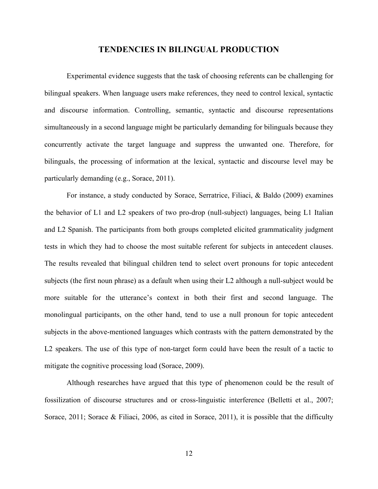#### **TENDENCIES IN BILINGUAL PRODUCTION**

Experimental evidence suggests that the task of choosing referents can be challenging for bilingual speakers. When language users make references, they need to control lexical, syntactic and discourse information. Controlling, semantic, syntactic and discourse representations simultaneously in a second language might be particularly demanding for bilinguals because they concurrently activate the target language and suppress the unwanted one. Therefore, for bilinguals, the processing of information at the lexical, syntactic and discourse level may be particularly demanding (e.g., Sorace, 2011).

For instance, a study conducted by Sorace, Serratrice, Filiaci, & Baldo (2009) examines the behavior of L1 and L2 speakers of two pro-drop (null-subject) languages, being L1 Italian and L2 Spanish. The participants from both groups completed elicited grammaticality judgment tests in which they had to choose the most suitable referent for subjects in antecedent clauses. The results revealed that bilingual children tend to select overt pronouns for topic antecedent subjects (the first noun phrase) as a default when using their L2 although a null-subject would be more suitable for the utterance's context in both their first and second language. The monolingual participants, on the other hand, tend to use a null pronoun for topic antecedent subjects in the above-mentioned languages which contrasts with the pattern demonstrated by the L<sub>2</sub> speakers. The use of this type of non-target form could have been the result of a tactic to mitigate the cognitive processing load (Sorace, 2009).

Although researches have argued that this type of phenomenon could be the result of fossilization of discourse structures and or cross-linguistic interference (Belletti et al., 2007; Sorace, 2011; Sorace & Filiaci, 2006, as cited in Sorace, 2011), it is possible that the difficulty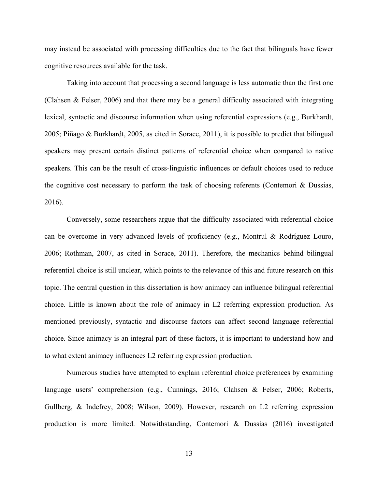may instead be associated with processing difficulties due to the fact that bilinguals have fewer cognitive resources available for the task.

Taking into account that processing a second language is less automatic than the first one (Clahsen & Felser, 2006) and that there may be a general difficulty associated with integrating lexical, syntactic and discourse information when using referential expressions (e.g., Burkhardt, 2005; Piñago & Burkhardt, 2005, as cited in Sorace, 2011), it is possible to predict that bilingual speakers may present certain distinct patterns of referential choice when compared to native speakers. This can be the result of cross-linguistic influences or default choices used to reduce the cognitive cost necessary to perform the task of choosing referents (Contemori & Dussias, 2016).

Conversely, some researchers argue that the difficulty associated with referential choice can be overcome in very advanced levels of proficiency (e.g., Montrul & Rodríguez Louro, 2006; Rothman, 2007, as cited in Sorace, 2011). Therefore, the mechanics behind bilingual referential choice is still unclear, which points to the relevance of this and future research on this topic. The central question in this dissertation is how animacy can influence bilingual referential choice. Little is known about the role of animacy in L2 referring expression production. As mentioned previously, syntactic and discourse factors can affect second language referential choice. Since animacy is an integral part of these factors, it is important to understand how and to what extent animacy influences L2 referring expression production.

Numerous studies have attempted to explain referential choice preferences by examining language users' comprehension (e.g., Cunnings, 2016; Clahsen & Felser, 2006; Roberts, Gullberg, & Indefrey, 2008; Wilson, 2009). However, research on L2 referring expression production is more limited. Notwithstanding, Contemori & Dussias (2016) investigated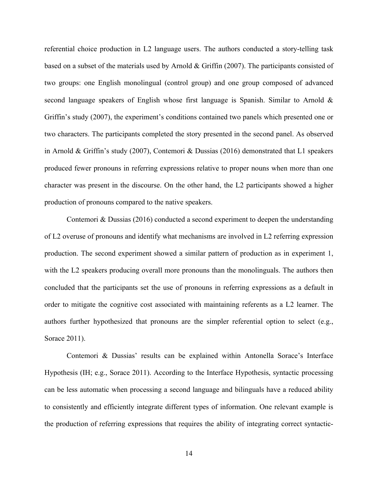referential choice production in L2 language users. The authors conducted a story-telling task based on a subset of the materials used by Arnold & Griffin (2007). The participants consisted of two groups: one English monolingual (control group) and one group composed of advanced second language speakers of English whose first language is Spanish. Similar to Arnold & Griffin's study (2007), the experiment's conditions contained two panels which presented one or two characters. The participants completed the story presented in the second panel. As observed in Arnold & Griffin's study (2007), Contemori & Dussias (2016) demonstrated that L1 speakers produced fewer pronouns in referring expressions relative to proper nouns when more than one character was present in the discourse. On the other hand, the L2 participants showed a higher production of pronouns compared to the native speakers.

Contemori & Dussias (2016) conducted a second experiment to deepen the understanding of L2 overuse of pronouns and identify what mechanisms are involved in L2 referring expression production. The second experiment showed a similar pattern of production as in experiment 1, with the L2 speakers producing overall more pronouns than the monolinguals. The authors then concluded that the participants set the use of pronouns in referring expressions as a default in order to mitigate the cognitive cost associated with maintaining referents as a L2 learner. The authors further hypothesized that pronouns are the simpler referential option to select (e.g., Sorace 2011).

Contemori & Dussias' results can be explained within Antonella Sorace's Interface Hypothesis (IH; e.g., Sorace 2011). According to the Interface Hypothesis, syntactic processing can be less automatic when processing a second language and bilinguals have a reduced ability to consistently and efficiently integrate different types of information. One relevant example is the production of referring expressions that requires the ability of integrating correct syntactic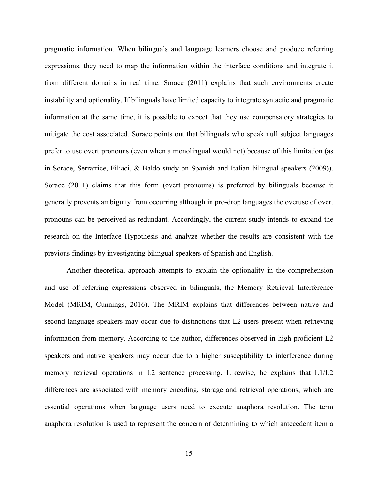pragmatic information. When bilinguals and language learners choose and produce referring expressions, they need to map the information within the interface conditions and integrate it from different domains in real time. Sorace (2011) explains that such environments create instability and optionality. If bilinguals have limited capacity to integrate syntactic and pragmatic information at the same time, it is possible to expect that they use compensatory strategies to mitigate the cost associated. Sorace points out that bilinguals who speak null subject languages prefer to use overt pronouns (even when a monolingual would not) because of this limitation (as in Sorace, Serratrice, Filiaci, & Baldo study on Spanish and Italian bilingual speakers (2009)). Sorace (2011) claims that this form (overt pronouns) is preferred by bilinguals because it generally prevents ambiguity from occurring although in pro-drop languages the overuse of overt pronouns can be perceived as redundant. Accordingly, the current study intends to expand the research on the Interface Hypothesis and analyze whether the results are consistent with the previous findings by investigating bilingual speakers of Spanish and English.

Another theoretical approach attempts to explain the optionality in the comprehension and use of referring expressions observed in bilinguals, the Memory Retrieval Interference Model (MRIM, Cunnings, 2016). The MRIM explains that differences between native and second language speakers may occur due to distinctions that L2 users present when retrieving information from memory. According to the author, differences observed in high-proficient L2 speakers and native speakers may occur due to a higher susceptibility to interference during memory retrieval operations in L2 sentence processing. Likewise, he explains that L1/L2 differences are associated with memory encoding, storage and retrieval operations, which are essential operations when language users need to execute anaphora resolution. The term anaphora resolution is used to represent the concern of determining to which antecedent item a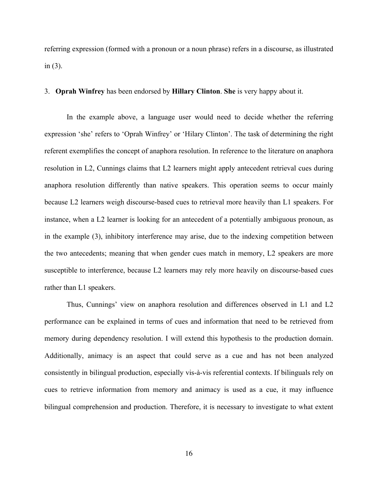referring expression (formed with a pronoun or a noun phrase) refers in a discourse, as illustrated in (3).

#### 3. **Oprah Winfrey** has been endorsed by **Hillary Clinton**. **She** is very happy about it.

In the example above, a language user would need to decide whether the referring expression 'she' refers to 'Oprah Winfrey' or 'Hilary Clinton'. The task of determining the right referent exemplifies the concept of anaphora resolution. In reference to the literature on anaphora resolution in L2, Cunnings claims that L2 learners might apply antecedent retrieval cues during anaphora resolution differently than native speakers. This operation seems to occur mainly because L2 learners weigh discourse-based cues to retrieval more heavily than L1 speakers. For instance, when a L2 learner is looking for an antecedent of a potentially ambiguous pronoun, as in the example (3), inhibitory interference may arise, due to the indexing competition between the two antecedents; meaning that when gender cues match in memory, L2 speakers are more susceptible to interference, because L2 learners may rely more heavily on discourse-based cues rather than L1 speakers.

Thus, Cunnings' view on anaphora resolution and differences observed in L1 and L2 performance can be explained in terms of cues and information that need to be retrieved from memory during dependency resolution. I will extend this hypothesis to the production domain. Additionally, animacy is an aspect that could serve as a cue and has not been analyzed consistently in bilingual production, especially vis-à-vis referential contexts. If bilinguals rely on cues to retrieve information from memory and animacy is used as a cue, it may influence bilingual comprehension and production. Therefore, it is necessary to investigate to what extent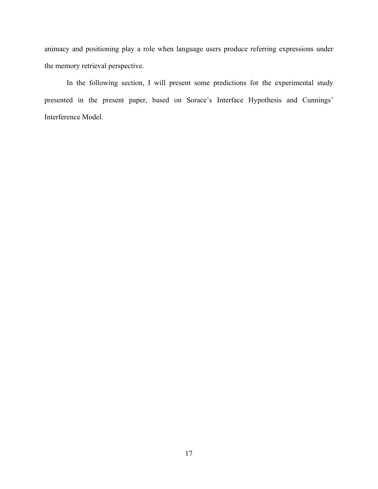animacy and positioning play a role when language users produce referring expressions under the memory retrieval perspective.

In the following section, I will present some predictions for the experimental study presented in the present paper, based on Sorace's Interface Hypothesis and Cunnings' Interference Model.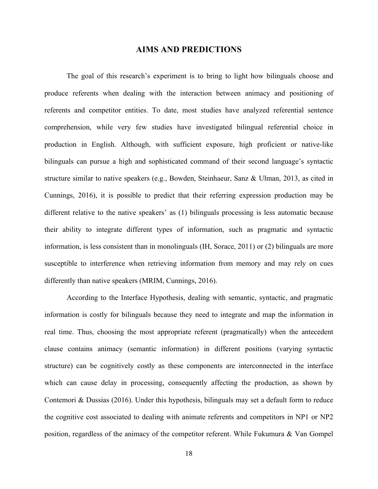#### **AIMS AND PREDICTIONS**

The goal of this research's experiment is to bring to light how bilinguals choose and produce referents when dealing with the interaction between animacy and positioning of referents and competitor entities. To date, most studies have analyzed referential sentence comprehension, while very few studies have investigated bilingual referential choice in production in English. Although, with sufficient exposure, high proficient or native-like bilinguals can pursue a high and sophisticated command of their second language's syntactic structure similar to native speakers (e.g., Bowden, Steinhaeur, Sanz & Ulman, 2013, as cited in Cunnings, 2016), it is possible to predict that their referring expression production may be different relative to the native speakers' as (1) bilinguals processing is less automatic because their ability to integrate different types of information, such as pragmatic and syntactic information, is less consistent than in monolinguals (IH, Sorace, 2011) or (2) bilinguals are more susceptible to interference when retrieving information from memory and may rely on cues differently than native speakers (MRIM, Cunnings, 2016).

According to the Interface Hypothesis, dealing with semantic, syntactic, and pragmatic information is costly for bilinguals because they need to integrate and map the information in real time. Thus, choosing the most appropriate referent (pragmatically) when the antecedent clause contains animacy (semantic information) in different positions (varying syntactic structure) can be cognitively costly as these components are interconnected in the interface which can cause delay in processing, consequently affecting the production, as shown by Contemori & Dussias (2016). Under this hypothesis, bilinguals may set a default form to reduce the cognitive cost associated to dealing with animate referents and competitors in NP1 or NP2 position, regardless of the animacy of the competitor referent. While Fukumura & Van Gompel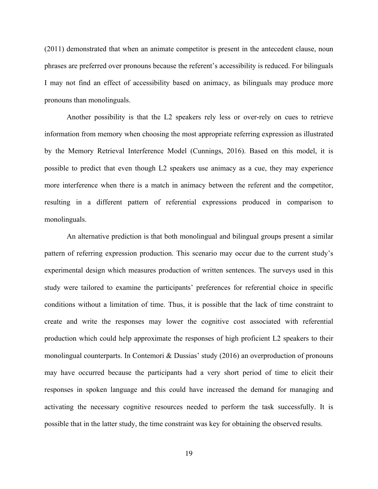(2011) demonstrated that when an animate competitor is present in the antecedent clause, noun phrases are preferred over pronouns because the referent's accessibility is reduced. For bilinguals I may not find an effect of accessibility based on animacy, as bilinguals may produce more pronouns than monolinguals.

Another possibility is that the L2 speakers rely less or over-rely on cues to retrieve information from memory when choosing the most appropriate referring expression as illustrated by the Memory Retrieval Interference Model (Cunnings, 2016). Based on this model, it is possible to predict that even though L2 speakers use animacy as a cue, they may experience more interference when there is a match in animacy between the referent and the competitor, resulting in a different pattern of referential expressions produced in comparison to monolinguals.

An alternative prediction is that both monolingual and bilingual groups present a similar pattern of referring expression production. This scenario may occur due to the current study's experimental design which measures production of written sentences. The surveys used in this study were tailored to examine the participants' preferences for referential choice in specific conditions without a limitation of time. Thus, it is possible that the lack of time constraint to create and write the responses may lower the cognitive cost associated with referential production which could help approximate the responses of high proficient L2 speakers to their monolingual counterparts. In Contemori & Dussias' study (2016) an overproduction of pronouns may have occurred because the participants had a very short period of time to elicit their responses in spoken language and this could have increased the demand for managing and activating the necessary cognitive resources needed to perform the task successfully. It is possible that in the latter study, the time constraint was key for obtaining the observed results.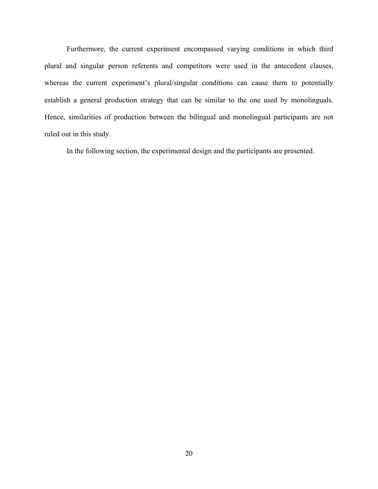Furthermore, the current experiment encompassed varying conditions in which third plural and singular person referents and competitors were used in the antecedent clauses, whereas the current experiment's plural/singular conditions can cause them to potentially establish a general production strategy that can be similar to the one used by monolinguals. Hence, similarities of production between the bilingual and monolingual participants are not ruled out in this study.

In the following section, the experimental design and the participants are presented.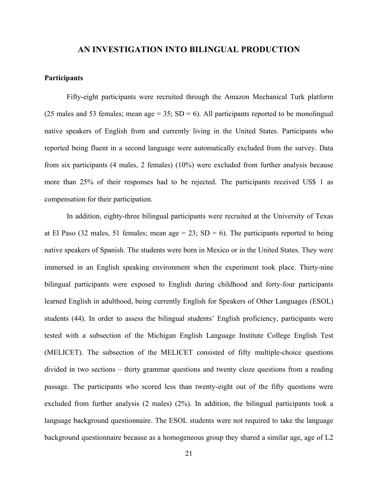#### **AN INVESTIGATION INTO BILINGUAL PRODUCTION**

#### **Participants**

Fifty-eight participants were recruited through the Amazon Mechanical Turk platform (25 males and 53 females; mean age  $= 35$ ; SD  $= 6$ ). All participants reported to be monolingual native speakers of English from and currently living in the United States. Participants who reported being fluent in a second language were automatically excluded from the survey. Data from six participants (4 males, 2 females) (10%) were excluded from further analysis because more than 25% of their responses had to be rejected. The participants received US\$ 1 as compensation for their participation.

In addition, eighty-three bilingual participants were recruited at the University of Texas at El Paso (32 males, 51 females; mean age = 23;  $SD = 6$ ). The participants reported to being native speakers of Spanish. The students were born in Mexico or in the United States. They were immersed in an English speaking environment when the experiment took place. Thirty-nine bilingual participants were exposed to English during childhood and forty-four participants learned English in adulthood, being currently English for Speakers of Other Languages (ESOL) students (44). In order to assess the bilingual students' English proficiency, participants were tested with a subsection of the Michigan English Language Institute College English Test (MELICET). The subsection of the MELICET consisted of fifty multiple-choice questions divided in two sections – thirty grammar questions and twenty cloze questions from a reading passage. The participants who scored less than twenty-eight out of the fifty questions were excluded from further analysis (2 males) (2%). In addition, the bilingual participants took a language background questionnaire. The ESOL students were not required to take the language background questionnaire because as a homogeneous group they shared a similar age, age of L2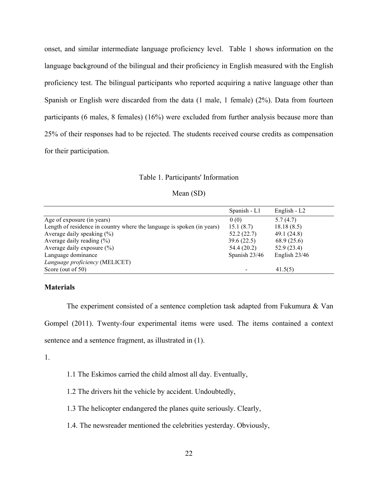onset, and similar intermediate language proficiency level. Table 1 shows information on the language background of the bilingual and their proficiency in English measured with the English proficiency test. The bilingual participants who reported acquiring a native language other than Spanish or English were discarded from the data (1 male, 1 female) (2%). Data from fourteen participants (6 males, 8 females) (16%) were excluded from further analysis because more than 25% of their responses had to be rejected. The students received course credits as compensation for their participation.

#### Table 1. Participants' Information

#### Mean (SD)

|                                                                        | Spanish - L1  | English - $L2$  |
|------------------------------------------------------------------------|---------------|-----------------|
| Age of exposure (in years)                                             | 0(0)          | 5.7(4.7)        |
| Length of residence in country where the language is spoken (in years) | 15.1(8.7)     | 18.18(8.5)      |
| Average daily speaking $(\% )$                                         | 52.2(22.7)    | 49.1 (24.8)     |
| Average daily reading $(\%)$                                           | 39.6(22.5)    | 68.9 (25.6)     |
| Average daily exposure $(\% )$                                         | 54.4(20.2)    | 52.9(23.4)      |
| Language dominance                                                     | Spanish 23/46 | English $23/46$ |
| Language proficiency (MELICET)                                         |               |                 |
| Score (out of 50)                                                      |               | 41.5(5)         |

#### **Materials**

The experiment consisted of a sentence completion task adapted from Fukumura & Van Gompel (2011). Twenty-four experimental items were used. The items contained a context sentence and a sentence fragment, as illustrated in (1).

1.

- 1.1 The Eskimos carried the child almost all day. Eventually,
- 1.2 The drivers hit the vehicle by accident. Undoubtedly,
- 1.3 The helicopter endangered the planes quite seriously. Clearly,
- 1.4. The newsreader mentioned the celebrities yesterday. Obviously,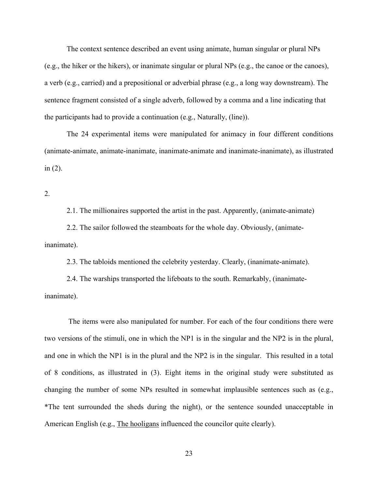The context sentence described an event using animate, human singular or plural NPs (e.g., the hiker or the hikers), or inanimate singular or plural NPs (e.g., the canoe or the canoes), a verb (e.g., carried) and a prepositional or adverbial phrase (e.g., a long way downstream). The sentence fragment consisted of a single adverb, followed by a comma and a line indicating that the participants had to provide a continuation (e.g., Naturally, (line)).

The 24 experimental items were manipulated for animacy in four different conditions (animate-animate, animate-inanimate, inanimate-animate and inanimate-inanimate), as illustrated in (2).

2.

2.1. The millionaires supported the artist in the past. Apparently, (animate-animate)

2.2. The sailor followed the steamboats for the whole day. Obviously, (animateinanimate).

2.3. The tabloids mentioned the celebrity yesterday. Clearly, (inanimate-animate).

2.4. The warships transported the lifeboats to the south. Remarkably, (inanimateinanimate).

The items were also manipulated for number. For each of the four conditions there were two versions of the stimuli, one in which the NP1 is in the singular and the NP2 is in the plural, and one in which the NP1 is in the plural and the NP2 is in the singular. This resulted in a total of 8 conditions, as illustrated in (3). Eight items in the original study were substituted as changing the number of some NPs resulted in somewhat implausible sentences such as (e.g., \*The tent surrounded the sheds during the night), or the sentence sounded unacceptable in American English (e.g., The hooligans influenced the councilor quite clearly).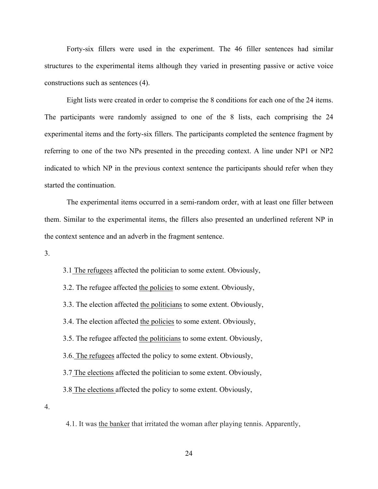Forty-six fillers were used in the experiment. The 46 filler sentences had similar structures to the experimental items although they varied in presenting passive or active voice constructions such as sentences (4).

Eight lists were created in order to comprise the 8 conditions for each one of the 24 items. The participants were randomly assigned to one of the 8 lists, each comprising the 24 experimental items and the forty-six fillers. The participants completed the sentence fragment by referring to one of the two NPs presented in the preceding context. A line under NP1 or NP2 indicated to which NP in the previous context sentence the participants should refer when they started the continuation.

The experimental items occurred in a semi-random order, with at least one filler between them. Similar to the experimental items, the fillers also presented an underlined referent NP in the context sentence and an adverb in the fragment sentence.

3.

3.1 The refugees affected the politician to some extent. Obviously,

3.2. The refugee affected the policies to some extent. Obviously,

3.3. The election affected the politicians to some extent. Obviously,

3.4. The election affected the policies to some extent. Obviously,

3.5. The refugee affected the politicians to some extent. Obviously,

3.6. The refugees affected the policy to some extent. Obviously,

3.7 The elections affected the politician to some extent. Obviously,

3.8 The elections affected the policy to some extent. Obviously,

4.

4.1. It was the banker that irritated the woman after playing tennis. Apparently,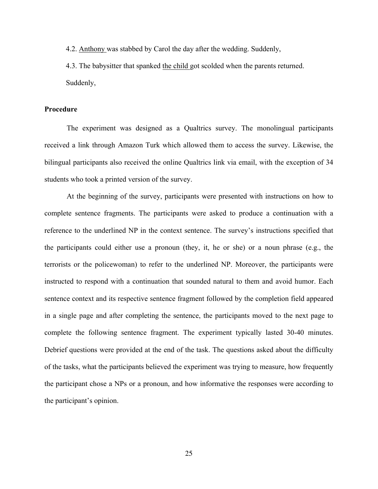4.2. Anthony was stabbed by Carol the day after the wedding. Suddenly,

4.3. The babysitter that spanked the child got scolded when the parents returned. Suddenly,

#### **Procedure**

The experiment was designed as a Qualtrics survey. The monolingual participants received a link through Amazon Turk which allowed them to access the survey. Likewise, the bilingual participants also received the online Qualtrics link via email, with the exception of 34 students who took a printed version of the survey.

At the beginning of the survey, participants were presented with instructions on how to complete sentence fragments. The participants were asked to produce a continuation with a reference to the underlined NP in the context sentence. The survey's instructions specified that the participants could either use a pronoun (they, it, he or she) or a noun phrase (e.g., the terrorists or the policewoman) to refer to the underlined NP. Moreover, the participants were instructed to respond with a continuation that sounded natural to them and avoid humor. Each sentence context and its respective sentence fragment followed by the completion field appeared in a single page and after completing the sentence, the participants moved to the next page to complete the following sentence fragment. The experiment typically lasted 30-40 minutes. Debrief questions were provided at the end of the task. The questions asked about the difficulty of the tasks, what the participants believed the experiment was trying to measure, how frequently the participant chose a NPs or a pronoun, and how informative the responses were according to the participant's opinion.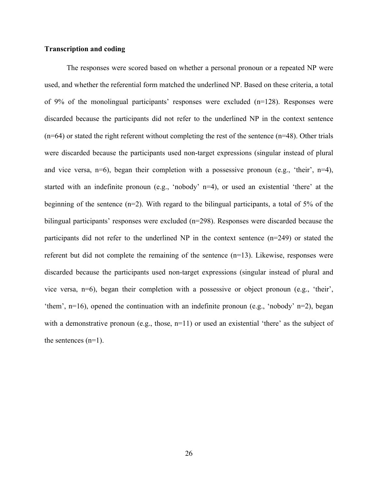#### **Transcription and coding**

The responses were scored based on whether a personal pronoun or a repeated NP were used, and whether the referential form matched the underlined NP. Based on these criteria, a total of 9% of the monolingual participants' responses were excluded (n=128). Responses were discarded because the participants did not refer to the underlined NP in the context sentence  $(n=64)$  or stated the right referent without completing the rest of the sentence  $(n=48)$ . Other trials were discarded because the participants used non-target expressions (singular instead of plural and vice versa,  $n=6$ ), began their completion with a possessive pronoun (e.g., 'their',  $n=4$ ), started with an indefinite pronoun (e.g., 'nobody' n=4), or used an existential 'there' at the beginning of the sentence (n=2). With regard to the bilingual participants, a total of 5% of the bilingual participants' responses were excluded (n=298). Responses were discarded because the participants did not refer to the underlined NP in the context sentence (n=249) or stated the referent but did not complete the remaining of the sentence (n=13). Likewise, responses were discarded because the participants used non-target expressions (singular instead of plural and vice versa, n=6), began their completion with a possessive or object pronoun (e.g., 'their', 'them', n=16), opened the continuation with an indefinite pronoun (e.g., 'nobody' n=2), began with a demonstrative pronoun (e.g., those,  $n=11$ ) or used an existential 'there' as the subject of the sentences (n=1).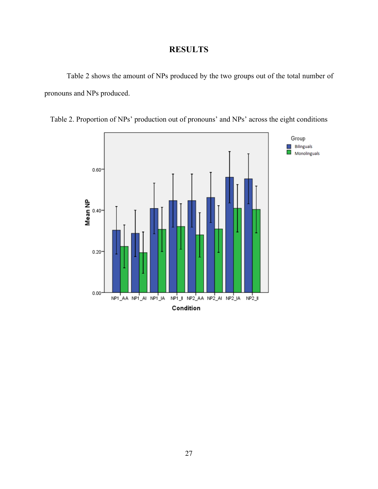# **RESULTS**

Table 2 shows the amount of NPs produced by the two groups out of the total number of pronouns and NPs produced.



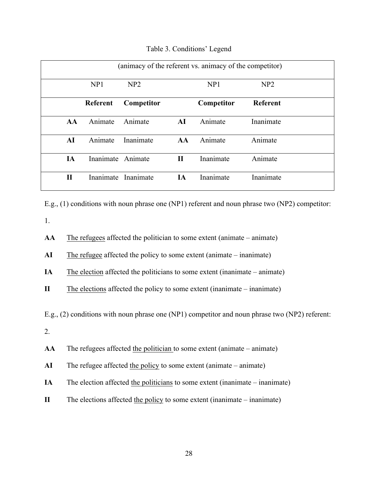| (animacy of the referent vs. animacy of the competitor) |           |                     |              |            |                 |  |  |
|---------------------------------------------------------|-----------|---------------------|--------------|------------|-----------------|--|--|
|                                                         | NP1       | NP2                 |              | NP1        | NP2             |  |  |
|                                                         | Referent  | Competitor          |              | Competitor | <b>Referent</b> |  |  |
| AA                                                      | Animate   | Animate             | AI           | Animate    | Inanimate       |  |  |
| AI                                                      | Animate   | Inanimate           | AA           | Animate    | Animate         |  |  |
| IA                                                      | Inanimate | Animate             | $\mathbf{I}$ | Inanimate  | Animate         |  |  |
| $\mathbf H$                                             |           | Inanimate Inanimate | <b>IA</b>    | Inanimate  | Inanimate       |  |  |

Table 3. Conditions' Legend

E.g., (1) conditions with noun phrase one (NP1) referent and noun phrase two (NP2) competitor:

1.

**AA** The refugees affected the politician to some extent (animate – animate)

**AI** The refugee affected the policy to some extent (animate – inanimate)

**IA** The election affected the politicians to some extent (inanimate – animate)

**II** The elections affected the policy to some extent (inanimate – inanimate)

E.g., (2) conditions with noun phrase one (NP1) competitor and noun phrase two (NP2) referent:

2.

**AA** The refugees affected the politician to some extent (animate – animate)

- **AI** The refugee affected the policy to some extent (animate animate)
- **IA** The election affected the politicians to some extent (inanimate inanimate)
- **II** The elections affected the policy to some extent (inanimate inanimate)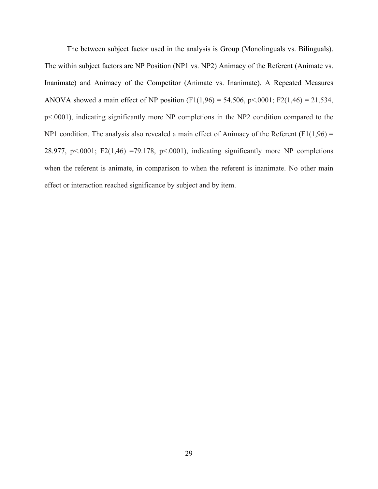The between subject factor used in the analysis is Group (Monolinguals vs. Bilinguals). The within subject factors are NP Position (NP1 vs. NP2) Animacy of the Referent (Animate vs. Inanimate) and Animacy of the Competitor (Animate vs. Inanimate). A Repeated Measures ANOVA showed a main effect of NP position (F1(1,96) = 54.506, p<.0001; F2(1,46) = 21,534, p<.0001), indicating significantly more NP completions in the NP2 condition compared to the NP1 condition. The analysis also revealed a main effect of Animacy of the Referent  $(F1(1,96) =$ 28.977, p $\leq$ .0001; F2(1,46) =79.178, p $\leq$ .0001), indicating significantly more NP completions when the referent is animate, in comparison to when the referent is inanimate. No other main effect or interaction reached significance by subject and by item.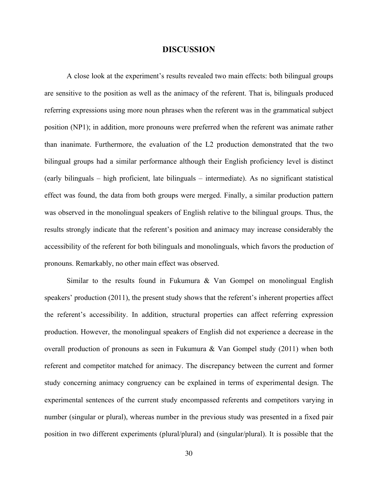#### **DISCUSSION**

A close look at the experiment's results revealed two main effects: both bilingual groups are sensitive to the position as well as the animacy of the referent. That is, bilinguals produced referring expressions using more noun phrases when the referent was in the grammatical subject position (NP1); in addition, more pronouns were preferred when the referent was animate rather than inanimate. Furthermore, the evaluation of the L2 production demonstrated that the two bilingual groups had a similar performance although their English proficiency level is distinct (early bilinguals – high proficient, late bilinguals – intermediate). As no significant statistical effect was found, the data from both groups were merged. Finally, a similar production pattern was observed in the monolingual speakers of English relative to the bilingual groups. Thus, the results strongly indicate that the referent's position and animacy may increase considerably the accessibility of the referent for both bilinguals and monolinguals, which favors the production of pronouns. Remarkably, no other main effect was observed.

Similar to the results found in Fukumura  $\&$  Van Gompel on monolingual English speakers' production (2011), the present study shows that the referent's inherent properties affect the referent's accessibility. In addition, structural properties can affect referring expression production. However, the monolingual speakers of English did not experience a decrease in the overall production of pronouns as seen in Fukumura & Van Gompel study (2011) when both referent and competitor matched for animacy. The discrepancy between the current and former study concerning animacy congruency can be explained in terms of experimental design. The experimental sentences of the current study encompassed referents and competitors varying in number (singular or plural), whereas number in the previous study was presented in a fixed pair position in two different experiments (plural/plural) and (singular/plural). It is possible that the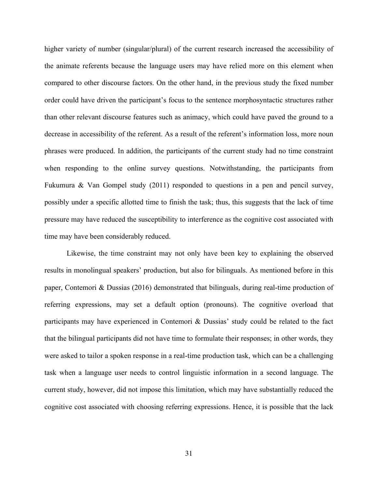higher variety of number (singular/plural) of the current research increased the accessibility of the animate referents because the language users may have relied more on this element when compared to other discourse factors. On the other hand, in the previous study the fixed number order could have driven the participant's focus to the sentence morphosyntactic structures rather than other relevant discourse features such as animacy, which could have paved the ground to a decrease in accessibility of the referent. As a result of the referent's information loss, more noun phrases were produced. In addition, the participants of the current study had no time constraint when responding to the online survey questions. Notwithstanding, the participants from Fukumura & Van Gompel study (2011) responded to questions in a pen and pencil survey, possibly under a specific allotted time to finish the task; thus, this suggests that the lack of time pressure may have reduced the susceptibility to interference as the cognitive cost associated with time may have been considerably reduced.

Likewise, the time constraint may not only have been key to explaining the observed results in monolingual speakers' production, but also for bilinguals. As mentioned before in this paper, Contemori & Dussias (2016) demonstrated that bilinguals, during real-time production of referring expressions, may set a default option (pronouns). The cognitive overload that participants may have experienced in Contemori & Dussias' study could be related to the fact that the bilingual participants did not have time to formulate their responses; in other words, they were asked to tailor a spoken response in a real-time production task, which can be a challenging task when a language user needs to control linguistic information in a second language. The current study, however, did not impose this limitation, which may have substantially reduced the cognitive cost associated with choosing referring expressions. Hence, it is possible that the lack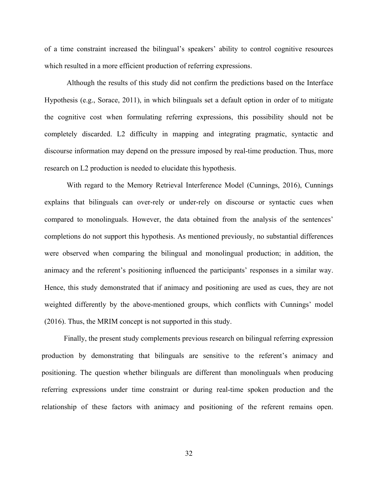of a time constraint increased the bilingual's speakers' ability to control cognitive resources which resulted in a more efficient production of referring expressions.

Although the results of this study did not confirm the predictions based on the Interface Hypothesis (e.g., Sorace, 2011), in which bilinguals set a default option in order of to mitigate the cognitive cost when formulating referring expressions, this possibility should not be completely discarded. L2 difficulty in mapping and integrating pragmatic, syntactic and discourse information may depend on the pressure imposed by real-time production. Thus, more research on L2 production is needed to elucidate this hypothesis.

With regard to the Memory Retrieval Interference Model (Cunnings, 2016), Cunnings explains that bilinguals can over-rely or under-rely on discourse or syntactic cues when compared to monolinguals. However, the data obtained from the analysis of the sentences' completions do not support this hypothesis. As mentioned previously, no substantial differences were observed when comparing the bilingual and monolingual production; in addition, the animacy and the referent's positioning influenced the participants' responses in a similar way. Hence, this study demonstrated that if animacy and positioning are used as cues, they are not weighted differently by the above-mentioned groups, which conflicts with Cunnings' model (2016). Thus, the MRIM concept is not supported in this study.

Finally, the present study complements previous research on bilingual referring expression production by demonstrating that bilinguals are sensitive to the referent's animacy and positioning. The question whether bilinguals are different than monolinguals when producing referring expressions under time constraint or during real-time spoken production and the relationship of these factors with animacy and positioning of the referent remains open.

32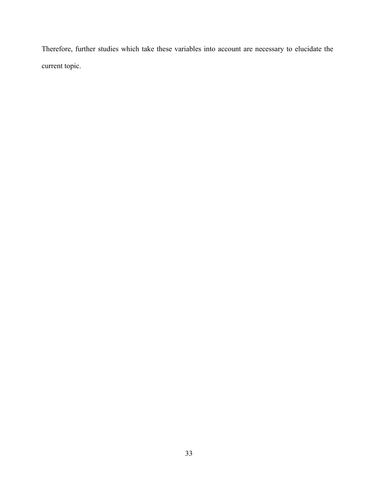Therefore, further studies which take these variables into account are necessary to elucidate the current topic.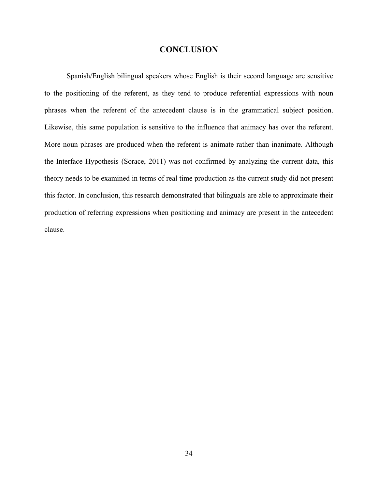#### **CONCLUSION**

Spanish/English bilingual speakers whose English is their second language are sensitive to the positioning of the referent, as they tend to produce referential expressions with noun phrases when the referent of the antecedent clause is in the grammatical subject position. Likewise, this same population is sensitive to the influence that animacy has over the referent. More noun phrases are produced when the referent is animate rather than inanimate. Although the Interface Hypothesis (Sorace, 2011) was not confirmed by analyzing the current data, this theory needs to be examined in terms of real time production as the current study did not present this factor. In conclusion, this research demonstrated that bilinguals are able to approximate their production of referring expressions when positioning and animacy are present in the antecedent clause.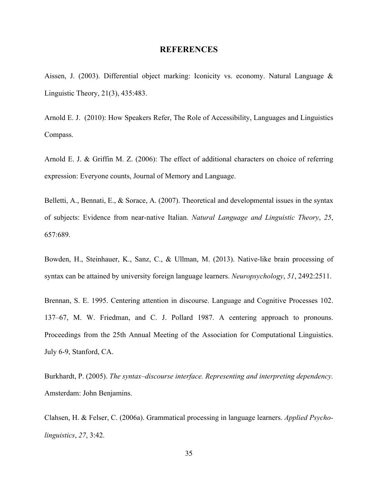#### **REFERENCES**

Aissen, J. (2003). Differential object marking: Iconicity vs. economy. Natural Language & Linguistic Theory, 21(3), 435:483.

Arnold E. J. (2010): How Speakers Refer, The Role of Accessibility, Languages and Linguistics Compass.

Arnold E. J. & Griffin M. Z. (2006): The effect of additional characters on choice of referring expression: Everyone counts, Journal of Memory and Language.

Belletti, A., Bennati, E., & Sorace, A. (2007). Theoretical and developmental issues in the syntax of subjects: Evidence from near-native Italian. *Natural Language and Linguistic Theory*, *25*, 657:689.

Bowden, H., Steinhauer, K., Sanz, C., & Ullman, M. (2013). Native-like brain processing of syntax can be attained by university foreign language learners. *Neuropsychology*, *51*, 2492:2511.

Brennan, S. E. 1995. Centering attention in discourse. Language and Cognitive Processes 102. 137–67, M. W. Friedman, and C. J. Pollard 1987. A centering approach to pronouns. Proceedings from the 25th Annual Meeting of the Association for Computational Linguistics. July 6-9, Stanford, CA.

Burkhardt, P. (2005). *The syntax–discourse interface. Representing and interpreting dependency.*  Amsterdam: John Benjamins.

Clahsen, H. & Felser, C. (2006a). Grammatical processing in language learners. *Applied Psycholinguistics*, *27*, 3:42.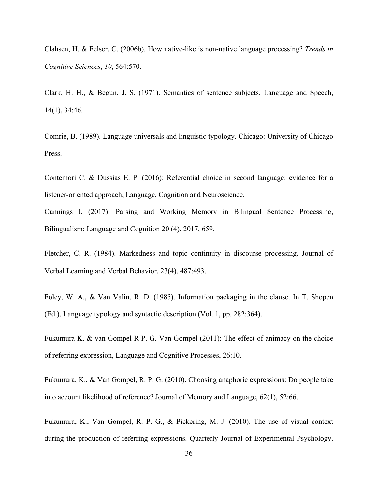Clahsen, H. & Felser, C. (2006b). How native-like is non-native language processing? *Trends in Cognitive Sciences*, *10*, 564:570.

Clark, H. H., & Begun, J. S. (1971). Semantics of sentence subjects. Language and Speech, 14(1), 34:46.

Comrie, B. (1989). Language universals and linguistic typology. Chicago: University of Chicago Press.

Contemori C. & Dussias E. P. (2016): Referential choice in second language: evidence for a listener-oriented approach, Language, Cognition and Neuroscience.

Cunnings I. (2017): Parsing and Working Memory in Bilingual Sentence Processing, Bilingualism: Language and Cognition 20 (4), 2017, 659.

Fletcher, C. R. (1984). Markedness and topic continuity in discourse processing. Journal of Verbal Learning and Verbal Behavior, 23(4), 487:493.

Foley, W. A., & Van Valin, R. D. (1985). Information packaging in the clause. In T. Shopen (Ed.), Language typology and syntactic description (Vol. 1, pp. 282:364).

Fukumura K. & van Gompel R P. G. Van Gompel (2011): The effect of animacy on the choice of referring expression, Language and Cognitive Processes, 26:10.

Fukumura, K., & Van Gompel, R. P. G. (2010). Choosing anaphoric expressions: Do people take into account likelihood of reference? Journal of Memory and Language, 62(1), 52:66.

Fukumura, K., Van Gompel, R. P. G., & Pickering, M. J. (2010). The use of visual context during the production of referring expressions. Quarterly Journal of Experimental Psychology.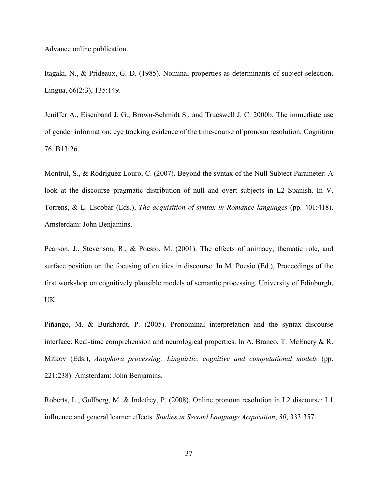Advance online publication.

Itagaki, N., & Prideaux, G. D. (1985). Nominal properties as determinants of subject selection. Lingua, 66(2:3), 135:149.

Jeniffer A., Eisenband J. G., Brown-Schmidt S., and Trueswell J. C. 2000b. The immediate use of gender information: eye tracking evidence of the time-course of pronoun resolution. Cognition 76. B13:26.

Montrul, S., & Rodríguez Louro, C. (2007). Beyond the syntax of the Null Subject Parameter: A look at the discourse–pragmatic distribution of null and overt subjects in L2 Spanish. In V. Torrens, & L. Escobar (Eds.), *The acquisition of syntax in Romance languages* (pp. 401:418). Amsterdam: John Benjamins.

Pearson, J., Stevenson, R., & Poesio, M. (2001). The effects of animacy, thematic role, and surface position on the focusing of entities in discourse. In M. Poesio (Ed.), Proceedings of the first workshop on cognitively plausible models of semantic processing. University of Edinburgh, UK.

Piñango, M. & Burkhardt, P. (2005). Pronominal interpretation and the syntax–discourse interface: Real-time comprehension and neurological properties. In A. Branco, T. McEnery & R. Mitkov (Eds.), *Anaphora processing: Linguistic, cognitive and computational models* (pp. 221:238). Amsterdam: John Benjamins.

Roberts, L., Gullberg, M. & Indefrey, P. (2008). Online pronoun resolution in L2 discourse: L1 influence and general learner effects. *Studies in Second Language Acquisition*, *30*, 333:357.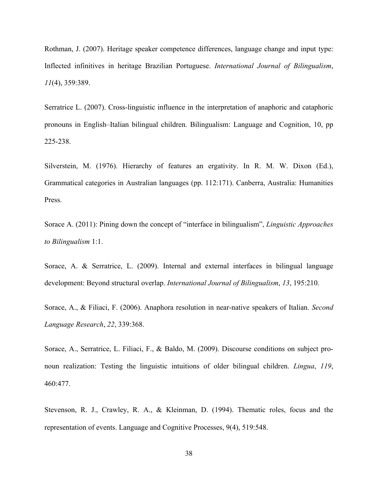Rothman, J. (2007). Heritage speaker competence differences, language change and input type: Inflected infinitives in heritage Brazilian Portuguese. *International Journal of Bilingualism*, *11*(4), 359:389.

Serratrice L. (2007). Cross-linguistic influence in the interpretation of anaphoric and cataphoric pronouns in English–Italian bilingual children. Bilingualism: Language and Cognition, 10, pp 225-238.

Silverstein, M. (1976). Hierarchy of features an ergativity. In R. M. W. Dixon (Ed.), Grammatical categories in Australian languages (pp. 112:171). Canberra, Australia: Humanities Press.

Sorace A. (2011): Pining down the concept of "interface in bilingualism", *Linguistic Approaches to Bilingualism* 1:1.

Sorace, A. & Serratrice, L. (2009). Internal and external interfaces in bilingual language development: Beyond structural overlap. *International Journal of Bilingualism*, *13*, 195:210.

Sorace, A., & Filiaci, F. (2006). Anaphora resolution in near-native speakers of Italian. *Second Language Research*, *22*, 339:368.

Sorace, A., Serratrice, L. Filiaci, F., & Baldo, M. (2009). Discourse conditions on subject pronoun realization: Testing the linguistic intuitions of older bilingual children. *Lingua*, *119*, 460:477.

Stevenson, R. J., Crawley, R. A., & Kleinman, D. (1994). Thematic roles, focus and the representation of events. Language and Cognitive Processes, 9(4), 519:548.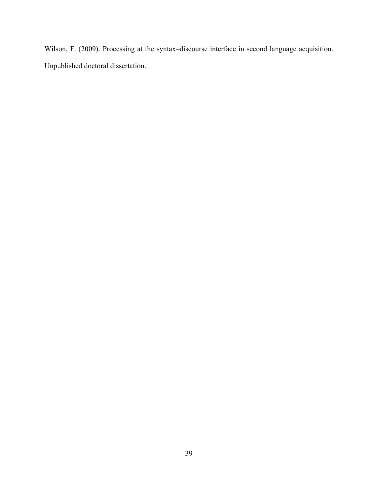Wilson, F. (2009). Processing at the syntax–discourse interface in second language acquisition. Unpublished doctoral dissertation.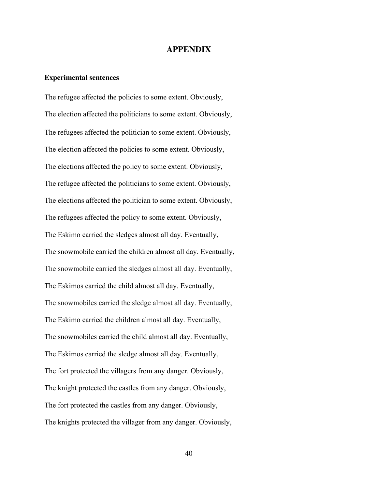#### **APPENDIX**

#### **Experimental sentences**

The refugee affected the policies to some extent. Obviously, The election affected the politicians to some extent. Obviously, The refugees affected the politician to some extent. Obviously, The election affected the policies to some extent. Obviously, The elections affected the policy to some extent. Obviously, The refugee affected the politicians to some extent. Obviously, The elections affected the politician to some extent. Obviously, The refugees affected the policy to some extent. Obviously, The Eskimo carried the sledges almost all day. Eventually, The snowmobile carried the children almost all day. Eventually, The snowmobile carried the sledges almost all day. Eventually, The Eskimos carried the child almost all day. Eventually, The snowmobiles carried the sledge almost all day. Eventually, The Eskimo carried the children almost all day. Eventually, The snowmobiles carried the child almost all day. Eventually, The Eskimos carried the sledge almost all day. Eventually, The fort protected the villagers from any danger. Obviously, The knight protected the castles from any danger. Obviously, The fort protected the castles from any danger. Obviously, The knights protected the villager from any danger. Obviously,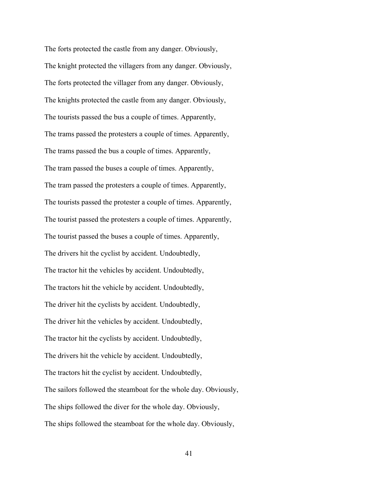The forts protected the castle from any danger. Obviously, The knight protected the villagers from any danger. Obviously, The forts protected the villager from any danger. Obviously, The knights protected the castle from any danger. Obviously, The tourists passed the bus a couple of times. Apparently, The trams passed the protesters a couple of times. Apparently, The trams passed the bus a couple of times. Apparently, The tram passed the buses a couple of times. Apparently, The tram passed the protesters a couple of times. Apparently, The tourists passed the protester a couple of times. Apparently, The tourist passed the protesters a couple of times. Apparently, The tourist passed the buses a couple of times. Apparently, The drivers hit the cyclist by accident. Undoubtedly, The tractor hit the vehicles by accident. Undoubtedly, The tractors hit the vehicle by accident. Undoubtedly, The driver hit the cyclists by accident. Undoubtedly, The driver hit the vehicles by accident. Undoubtedly, The tractor hit the cyclists by accident. Undoubtedly, The drivers hit the vehicle by accident. Undoubtedly, The tractors hit the cyclist by accident. Undoubtedly, The sailors followed the steamboat for the whole day. Obviously, The ships followed the diver for the whole day. Obviously, The ships followed the steamboat for the whole day. Obviously,

41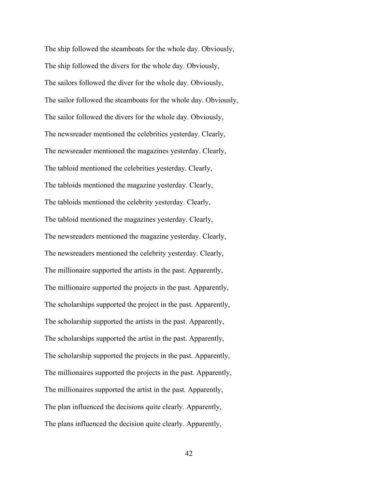The ship followed the steamboats for the whole day. Obviously, The ship followed the divers for the whole day. Obviously, The sailors followed the diver for the whole day. Obviously, The sailor followed the steamboats for the whole day. Obviously, The sailor followed the divers for the whole day. Obviously, The newsreader mentioned the celebrities yesterday. Clearly, The newsreader mentioned the magazines yesterday. Clearly, The tabloid mentioned the celebrities yesterday. Clearly, The tabloids mentioned the magazine yesterday. Clearly, The tabloids mentioned the celebrity yesterday. Clearly, The tabloid mentioned the magazines yesterday. Clearly, The newsreaders mentioned the magazine yesterday. Clearly, The newsreaders mentioned the celebrity yesterday. Clearly, The millionaire supported the artists in the past. Apparently, The millionaire supported the projects in the past. Apparently, The scholarships supported the project in the past. Apparently, The scholarship supported the artists in the past. Apparently, The scholarships supported the artist in the past. Apparently, The scholarship supported the projects in the past. Apparently, The millionaires supported the projects in the past. Apparently, The millionaires supported the artist in the past. Apparently, The plan influenced the decisions quite clearly. Apparently, The plans influenced the decision quite clearly. Apparently,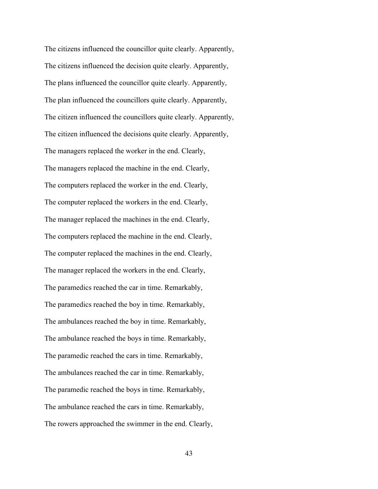The citizens influenced the councillor quite clearly. Apparently, The citizens influenced the decision quite clearly. Apparently, The plans influenced the councillor quite clearly. Apparently, The plan influenced the councillors quite clearly. Apparently, The citizen influenced the councillors quite clearly. Apparently, The citizen influenced the decisions quite clearly. Apparently, The managers replaced the worker in the end. Clearly, The managers replaced the machine in the end. Clearly, The computers replaced the worker in the end. Clearly, The computer replaced the workers in the end. Clearly, The manager replaced the machines in the end. Clearly, The computers replaced the machine in the end. Clearly, The computer replaced the machines in the end. Clearly, The manager replaced the workers in the end. Clearly, The paramedics reached the car in time. Remarkably, The paramedics reached the boy in time. Remarkably, The ambulances reached the boy in time. Remarkably, The ambulance reached the boys in time. Remarkably, The paramedic reached the cars in time. Remarkably, The ambulances reached the car in time. Remarkably, The paramedic reached the boys in time. Remarkably, The ambulance reached the cars in time. Remarkably, The rowers approached the swimmer in the end. Clearly,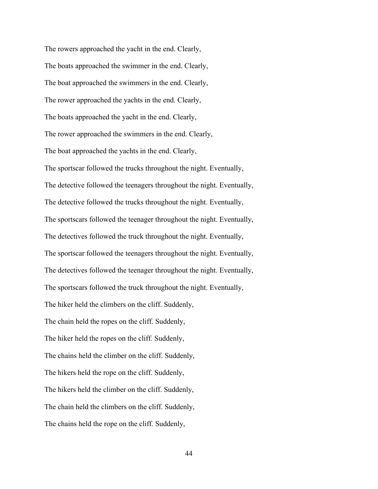The rowers approached the yacht in the end. Clearly, The boats approached the swimmer in the end. Clearly, The boat approached the swimmers in the end. Clearly, The rower approached the yachts in the end. Clearly, The boats approached the yacht in the end. Clearly, The rower approached the swimmers in the end. Clearly, The boat approached the yachts in the end. Clearly, The sportscar followed the trucks throughout the night. Eventually, The detective followed the teenagers throughout the night. Eventually, The detective followed the trucks throughout the night. Eventually, The sportscars followed the teenager throughout the night. Eventually, The detectives followed the truck throughout the night. Eventually, The sportscar followed the teenagers throughout the night. Eventually, The detectives followed the teenager throughout the night. Eventually, The sportscars followed the truck throughout the night. Eventually, The hiker held the climbers on the cliff. Suddenly, The chain held the ropes on the cliff. Suddenly, The hiker held the ropes on the cliff. Suddenly, The chains held the climber on the cliff. Suddenly, The hikers held the rope on the cliff. Suddenly, The hikers held the climber on the cliff. Suddenly, The chain held the climbers on the cliff. Suddenly, The chains held the rope on the cliff. Suddenly,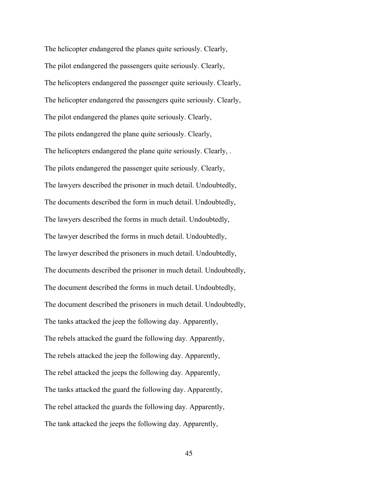The helicopter endangered the planes quite seriously. Clearly, The pilot endangered the passengers quite seriously. Clearly, The helicopters endangered the passenger quite seriously. Clearly, The helicopter endangered the passengers quite seriously. Clearly, The pilot endangered the planes quite seriously. Clearly, The pilots endangered the plane quite seriously. Clearly, The helicopters endangered the plane quite seriously. Clearly, . The pilots endangered the passenger quite seriously. Clearly, The lawyers described the prisoner in much detail. Undoubtedly, The documents described the form in much detail. Undoubtedly, The lawyers described the forms in much detail. Undoubtedly, The lawyer described the forms in much detail. Undoubtedly, The lawyer described the prisoners in much detail. Undoubtedly, The documents described the prisoner in much detail. Undoubtedly, The document described the forms in much detail. Undoubtedly, The document described the prisoners in much detail. Undoubtedly, The tanks attacked the jeep the following day. Apparently, The rebels attacked the guard the following day. Apparently, The rebels attacked the jeep the following day. Apparently, The rebel attacked the jeeps the following day. Apparently, The tanks attacked the guard the following day. Apparently, The rebel attacked the guards the following day. Apparently, The tank attacked the jeeps the following day. Apparently,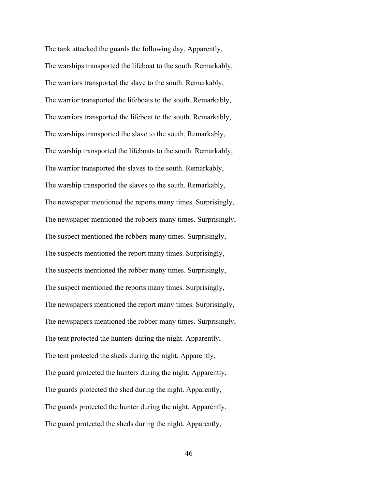The tank attacked the guards the following day. Apparently, The warships transported the lifeboat to the south. Remarkably, The warriors transported the slave to the south. Remarkably, The warrior transported the lifeboats to the south. Remarkably, The warriors transported the lifeboat to the south. Remarkably, The warships transported the slave to the south. Remarkably, The warship transported the lifeboats to the south. Remarkably, The warrior transported the slaves to the south. Remarkably, The warship transported the slaves to the south. Remarkably, The newspaper mentioned the reports many times. Surprisingly, The newspaper mentioned the robbers many times. Surprisingly, The suspect mentioned the robbers many times. Surprisingly, The suspects mentioned the report many times. Surprisingly, The suspects mentioned the robber many times. Surprisingly, The suspect mentioned the reports many times. Surprisingly, The newspapers mentioned the report many times. Surprisingly, The newspapers mentioned the robber many times. Surprisingly, The tent protected the hunters during the night. Apparently, The tent protected the sheds during the night. Apparently, The guard protected the hunters during the night. Apparently, The guards protected the shed during the night. Apparently, The guards protected the hunter during the night. Apparently, The guard protected the sheds during the night. Apparently,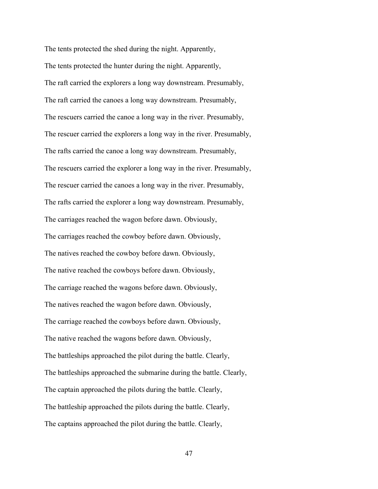The tents protected the shed during the night. Apparently, The tents protected the hunter during the night. Apparently, The raft carried the explorers a long way downstream. Presumably, The raft carried the canoes a long way downstream. Presumably, The rescuers carried the canoe a long way in the river. Presumably, The rescuer carried the explorers a long way in the river. Presumably, The rafts carried the canoe a long way downstream. Presumably, The rescuers carried the explorer a long way in the river. Presumably, The rescuer carried the canoes a long way in the river. Presumably, The rafts carried the explorer a long way downstream. Presumably, The carriages reached the wagon before dawn. Obviously, The carriages reached the cowboy before dawn. Obviously, The natives reached the cowboy before dawn. Obviously, The native reached the cowboys before dawn. Obviously, The carriage reached the wagons before dawn. Obviously, The natives reached the wagon before dawn. Obviously, The carriage reached the cowboys before dawn. Obviously, The native reached the wagons before dawn. Obviously, The battleships approached the pilot during the battle. Clearly, The battleships approached the submarine during the battle. Clearly, The captain approached the pilots during the battle. Clearly, The battleship approached the pilots during the battle. Clearly, The captains approached the pilot during the battle. Clearly,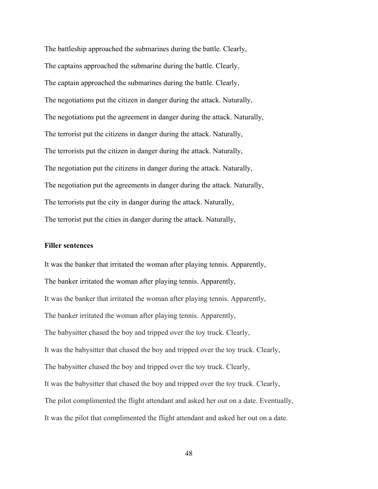The battleship approached the submarines during the battle. Clearly, The captains approached the submarine during the battle. Clearly, The captain approached the submarines during the battle. Clearly, The negotiations put the citizen in danger during the attack. Naturally, The negotiations put the agreement in danger during the attack. Naturally, The terrorist put the citizens in danger during the attack. Naturally, The terrorists put the citizen in danger during the attack. Naturally, The negotiation put the citizens in danger during the attack. Naturally, The negotiation put the agreements in danger during the attack. Naturally, The terrorists put the city in danger during the attack. Naturally, The terrorist put the cities in danger during the attack. Naturally,

#### **Filler sentences**

It was the banker that irritated the woman after playing tennis. Apparently, The banker irritated the woman after playing tennis. Apparently, It was the banker that irritated the woman after playing tennis. Apparently, The banker irritated the woman after playing tennis. Apparently, The babysitter chased the boy and tripped over the toy truck. Clearly, It was the babysitter that chased the boy and tripped over the toy truck. Clearly, The babysitter chased the boy and tripped over the toy truck. Clearly, It was the babysitter that chased the boy and tripped over the toy truck. Clearly, The pilot complimented the flight attendant and asked her out on a date. Eventually, It was the pilot that complimented the flight attendant and asked her out on a date.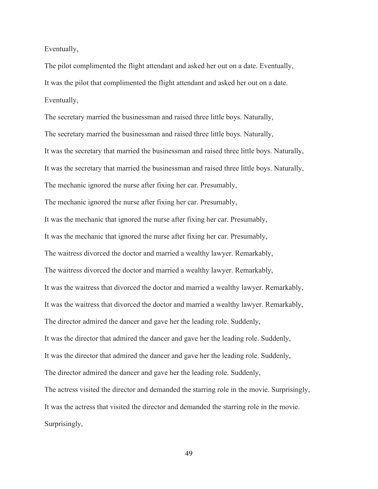Eventually,

The pilot complimented the flight attendant and asked her out on a date. Eventually, It was the pilot that complimented the flight attendant and asked her out on a date. Eventually,

The secretary married the businessman and raised three little boys. Naturally, The secretary married the businessman and raised three little boys. Naturally, It was the secretary that married the businessman and raised three little boys. Naturally, It was the secretary that married the businessman and raised three little boys. Naturally, The mechanic ignored the nurse after fixing her car. Presumably, The mechanic ignored the nurse after fixing her car. Presumably, It was the mechanic that ignored the nurse after fixing her car. Presumably, It was the mechanic that ignored the nurse after fixing her car. Presumably, The waitress divorced the doctor and married a wealthy lawyer. Remarkably, The waitress divorced the doctor and married a wealthy lawyer. Remarkably, It was the waitress that divorced the doctor and married a wealthy lawyer. Remarkably, It was the waitress that divorced the doctor and married a wealthy lawyer. Remarkably, The director admired the dancer and gave her the leading role. Suddenly, It was the director that admired the dancer and gave her the leading role. Suddenly, It was the director that admired the dancer and gave her the leading role. Suddenly, The director admired the dancer and gave her the leading role. Suddenly, The actress visited the director and demanded the starring role in the movie. Surprisingly, It was the actress that visited the director and demanded the starring role in the movie. Surprisingly,

49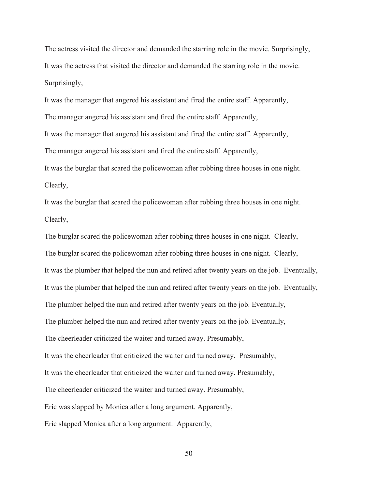The actress visited the director and demanded the starring role in the movie. Surprisingly, It was the actress that visited the director and demanded the starring role in the movie. Surprisingly,

It was the manager that angered his assistant and fired the entire staff. Apparently, The manager angered his assistant and fired the entire staff. Apparently, It was the manager that angered his assistant and fired the entire staff. Apparently, The manager angered his assistant and fired the entire staff. Apparently, It was the burglar that scared the policewoman after robbing three houses in one night. Clearly,

It was the burglar that scared the policewoman after robbing three houses in one night. Clearly,

The burglar scared the policewoman after robbing three houses in one night. Clearly, The burglar scared the policewoman after robbing three houses in one night. Clearly, It was the plumber that helped the nun and retired after twenty years on the job. Eventually, It was the plumber that helped the nun and retired after twenty years on the job. Eventually, The plumber helped the nun and retired after twenty years on the job. Eventually, The plumber helped the nun and retired after twenty years on the job. Eventually, The cheerleader criticized the waiter and turned away. Presumably, It was the cheerleader that criticized the waiter and turned away. Presumably, It was the cheerleader that criticized the waiter and turned away. Presumably, The cheerleader criticized the waiter and turned away. Presumably, Eric was slapped by Monica after a long argument. Apparently, Eric slapped Monica after a long argument. Apparently,

50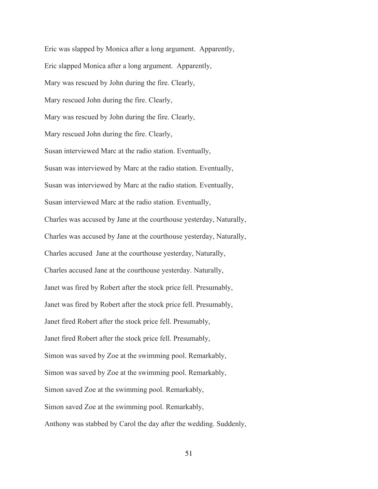Eric was slapped by Monica after a long argument. Apparently, Eric slapped Monica after a long argument. Apparently, Mary was rescued by John during the fire. Clearly, Mary rescued John during the fire. Clearly, Mary was rescued by John during the fire. Clearly, Mary rescued John during the fire. Clearly, Susan interviewed Marc at the radio station. Eventually, Susan was interviewed by Marc at the radio station. Eventually, Susan was interviewed by Marc at the radio station. Eventually, Susan interviewed Marc at the radio station. Eventually, Charles was accused by Jane at the courthouse yesterday, Naturally, Charles was accused by Jane at the courthouse yesterday, Naturally, Charles accused Jane at the courthouse yesterday, Naturally, Charles accused Jane at the courthouse yesterday. Naturally, Janet was fired by Robert after the stock price fell. Presumably, Janet was fired by Robert after the stock price fell. Presumably, Janet fired Robert after the stock price fell. Presumably, Janet fired Robert after the stock price fell. Presumably, Simon was saved by Zoe at the swimming pool. Remarkably, Simon was saved by Zoe at the swimming pool. Remarkably, Simon saved Zoe at the swimming pool. Remarkably, Simon saved Zoe at the swimming pool. Remarkably, Anthony was stabbed by Carol the day after the wedding. Suddenly,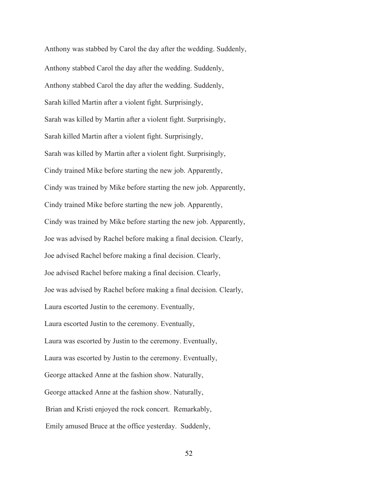Anthony was stabbed by Carol the day after the wedding. Suddenly, Anthony stabbed Carol the day after the wedding. Suddenly, Anthony stabbed Carol the day after the wedding. Suddenly, Sarah killed Martin after a violent fight. Surprisingly, Sarah was killed by Martin after a violent fight. Surprisingly, Sarah killed Martin after a violent fight. Surprisingly, Sarah was killed by Martin after a violent fight. Surprisingly, Cindy trained Mike before starting the new job. Apparently, Cindy was trained by Mike before starting the new job. Apparently, Cindy trained Mike before starting the new job. Apparently, Cindy was trained by Mike before starting the new job. Apparently, Joe was advised by Rachel before making a final decision. Clearly, Joe advised Rachel before making a final decision. Clearly, Joe advised Rachel before making a final decision. Clearly, Joe was advised by Rachel before making a final decision. Clearly, Laura escorted Justin to the ceremony. Eventually, Laura escorted Justin to the ceremony. Eventually, Laura was escorted by Justin to the ceremony. Eventually, Laura was escorted by Justin to the ceremony. Eventually, George attacked Anne at the fashion show. Naturally, George attacked Anne at the fashion show. Naturally, Brian and Kristi enjoyed the rock concert. Remarkably, Emily amused Bruce at the office yesterday. Suddenly,

52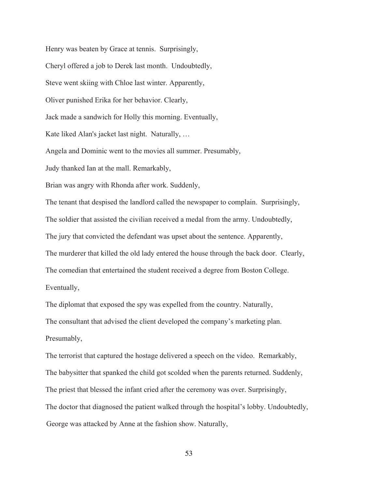Henry was beaten by Grace at tennis. Surprisingly, Cheryl offered a job to Derek last month. Undoubtedly, Steve went skiing with Chloe last winter. Apparently, Oliver punished Erika for her behavior. Clearly, Jack made a sandwich for Holly this morning. Eventually, Kate liked Alan's jacket last night. Naturally, … Angela and Dominic went to the movies all summer. Presumably, Judy thanked Ian at the mall. Remarkably, Brian was angry with Rhonda after work. Suddenly, The tenant that despised the landlord called the newspaper to complain. Surprisingly, The soldier that assisted the civilian received a medal from the army. Undoubtedly, The jury that convicted the defendant was upset about the sentence. Apparently, The murderer that killed the old lady entered the house through the back door. Clearly, The comedian that entertained the student received a degree from Boston College. Eventually, The diplomat that exposed the spy was expelled from the country. Naturally,

The consultant that advised the client developed the company's marketing plan. Presumably,

George was attacked by Anne at the fashion show. Naturally, The terrorist that captured the hostage delivered a speech on the video. Remarkably, The babysitter that spanked the child got scolded when the parents returned. Suddenly, The priest that blessed the infant cried after the ceremony was over. Surprisingly, The doctor that diagnosed the patient walked through the hospital's lobby. Undoubtedly,

53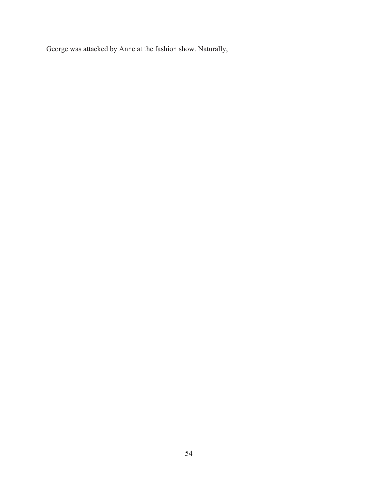George was attacked by Anne at the fashion show. Naturally,